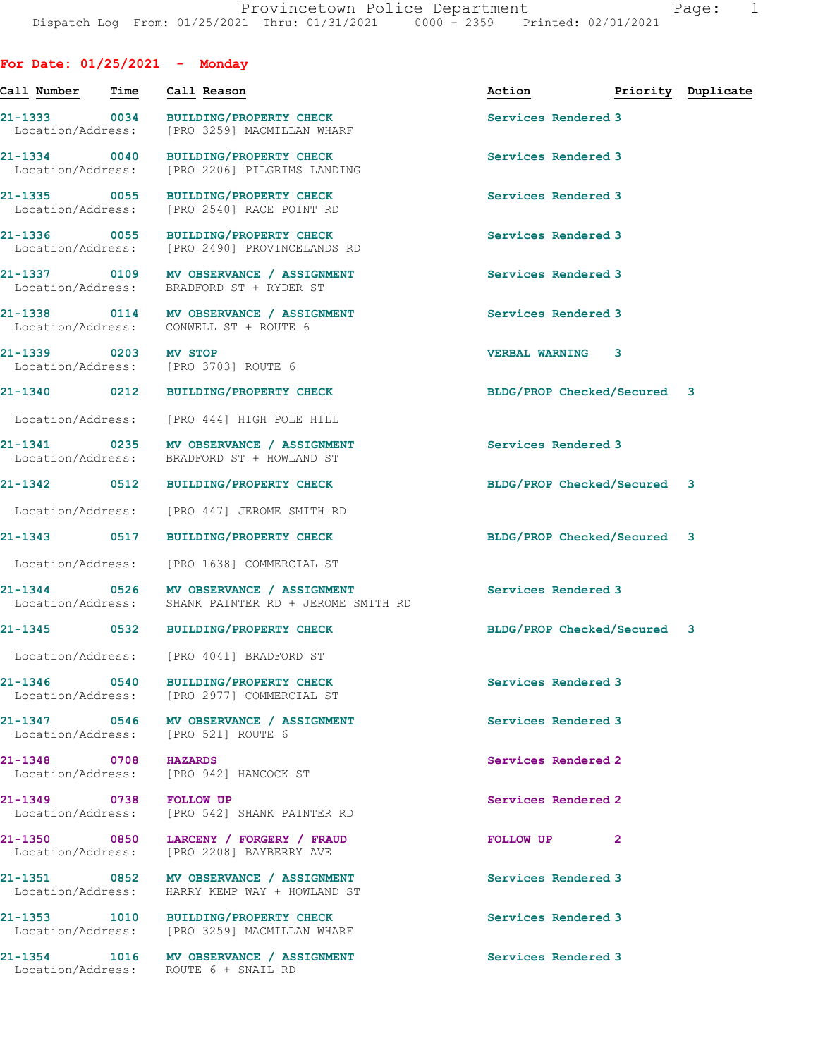**For Date: 01/25/2021 - Monday**

| Call Number Time                  | Call Reason                                                                                     | Action <b>Priority</b> Duplicate |              |  |
|-----------------------------------|-------------------------------------------------------------------------------------------------|----------------------------------|--------------|--|
| Location/Address:                 | 21-1333 0034 BUILDING/PROPERTY CHECK<br>[PRO 3259] MACMILLAN WHARF                              | Services Rendered 3              |              |  |
| 21-1334 0040<br>Location/Address: | BUILDING/PROPERTY CHECK<br>[PRO 2206] PILGRIMS LANDING                                          | Services Rendered 3              |              |  |
|                                   | 21-1335 0055 BUILDING/PROPERTY CHECK<br>Location/Address: [PRO 2540] RACE POINT RD              | Services Rendered 3              |              |  |
|                                   | 21-1336 0055 BUILDING/PROPERTY CHECK<br>Location/Address: [PRO 2490] PROVINCELANDS RD           | Services Rendered 3              |              |  |
|                                   | 21-1337 0109 MV OBSERVANCE / ASSIGNMENT<br>Location/Address: BRADFORD ST + RYDER ST             | Services Rendered 3              |              |  |
|                                   | 21-1338 0114 MV OBSERVANCE / ASSIGNMENT<br>Location/Address: CONWELL ST + ROUTE 6               | Services Rendered 3              |              |  |
| 21-1339 0203                      | <b>MV STOP</b><br>Location/Address: [PRO 3703] ROUTE 6                                          | <b>VERBAL WARNING 3</b>          |              |  |
|                                   | 21-1340 0212 BUILDING/PROPERTY CHECK                                                            | BLDG/PROP Checked/Secured 3      |              |  |
|                                   | Location/Address: [PRO 444] HIGH POLE HILL                                                      |                                  |              |  |
|                                   | 21-1341 0235 MV OBSERVANCE / ASSIGNMENT<br>Location/Address: BRADFORD ST + HOWLAND ST           | Services Rendered 3              |              |  |
|                                   | 21-1342 0512 BUILDING/PROPERTY CHECK                                                            | BLDG/PROP Checked/Secured 3      |              |  |
| Location/Address:                 | [PRO 447] JEROME SMITH RD                                                                       |                                  |              |  |
|                                   | 21-1343 0517 BUILDING/PROPERTY CHECK                                                            | BLDG/PROP Checked/Secured 3      |              |  |
|                                   | Location/Address: [PRO 1638] COMMERCIAL ST                                                      |                                  |              |  |
|                                   | 21-1344 0526 MV OBSERVANCE / ASSIGNMENT<br>Location/Address: SHANK PAINTER RD + JEROME SMITH RD | Services Rendered 3              |              |  |
|                                   | 21-1345 0532 BUILDING/PROPERTY CHECK                                                            | BLDG/PROP Checked/Secured 3      |              |  |
|                                   | Location/Address: [PRO 4041] BRADFORD ST                                                        |                                  |              |  |
|                                   | 21-1346 0540 BUILDING/PROPERTY CHECK<br>Location/Address: [PRO 2977] COMMERCIAL ST              | Services Rendered 3              |              |  |
|                                   | 21-1347 0546 MV OBSERVANCE / ASSIGNMENT<br>Location/Address: [PRO 521] ROUTE 6                  | Services Rendered 3              |              |  |
| 21-1348 0708 HAZARDS              | Location/Address: [PRO 942] HANCOCK ST                                                          | Services Rendered 2              |              |  |
| 21-1349 0738 FOLLOW UP            | Location/Address: [PRO 542] SHANK PAINTER RD                                                    | Services Rendered 2              |              |  |
|                                   | 21-1350 0850 LARCENY / FORGERY / FRAUD<br>Location/Address: [PRO 2208] BAYBERRY AVE             | FOLLOW UP                        | $\mathbf{2}$ |  |
|                                   | 21-1351 0852 MV OBSERVANCE / ASSIGNMENT<br>Location/Address: HARRY KEMP WAY + HOWLAND ST        | Services Rendered 3              |              |  |
|                                   | 21-1353 1010 BUILDING/PROPERTY CHECK<br>Location/Address: [PRO 3259] MACMILLAN WHARF            | Services Rendered 3              |              |  |
|                                   | 21-1354 1016 MV OBSERVANCE / ASSIGNMENT<br>Location/Address: ROUTE 6 + SNAIL RD                 | Services Rendered 3              |              |  |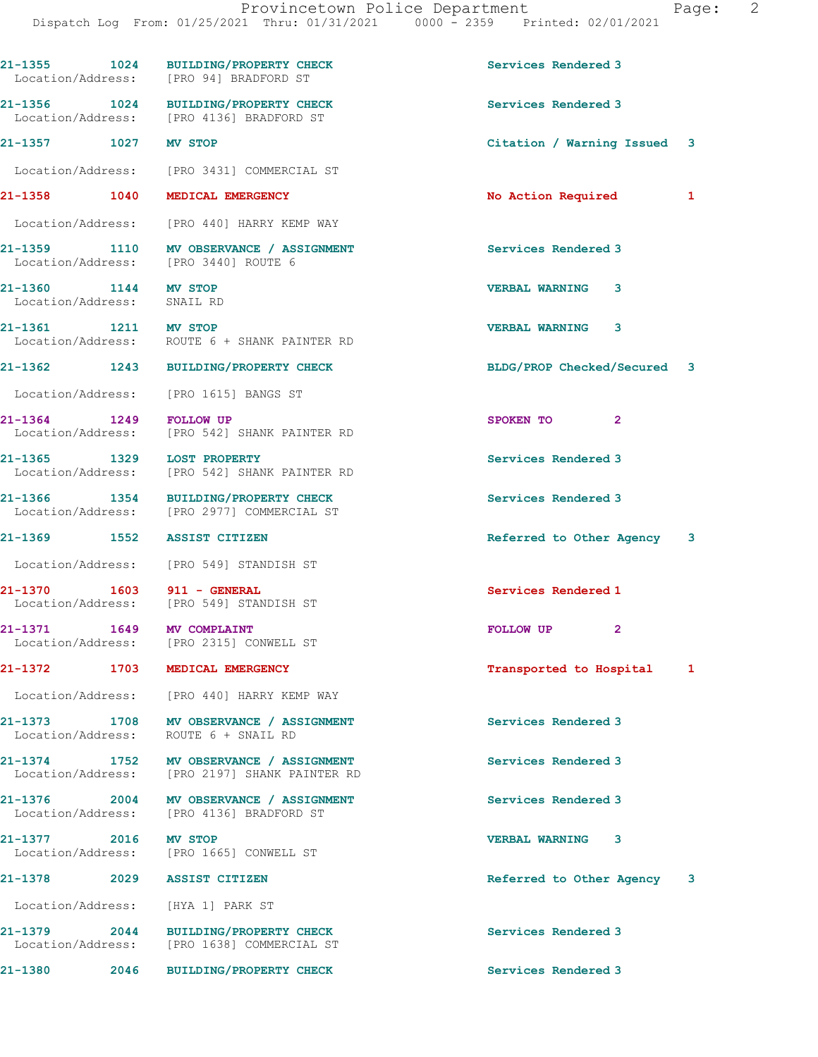|                                                    | 21-1355 1024 BUILDING/PROPERTY CHECK<br>Location/Address: [PRO 94] BRADFORD ST           | Services Rendered 3           |
|----------------------------------------------------|------------------------------------------------------------------------------------------|-------------------------------|
|                                                    | 21-1356 1024 BUILDING/PROPERTY CHECK<br>Location/Address: [PRO 4136] BRADFORD ST         | Services Rendered 3           |
| 21-1357 1027 MV STOP                               |                                                                                          | Citation / Warning Issued 3   |
|                                                    | Location/Address: [PRO 3431] COMMERCIAL ST                                               |                               |
|                                                    | 21-1358 1040 MEDICAL EMERGENCY                                                           | No Action Required<br>1       |
|                                                    | Location/Address: [PRO 440] HARRY KEMP WAY                                               |                               |
|                                                    | 21-1359 1110 MV OBSERVANCE / ASSIGNMENT<br>Location/Address: [PRO 3440] ROUTE 6          | Services Rendered 3           |
| 21-1360 1144 MV STOP<br>Location/Address: SNAIL RD |                                                                                          | VERBAL WARNING 3              |
| 21-1361 1211 MV STOP                               | Location/Address: ROUTE 6 + SHANK PAINTER RD                                             | <b>VERBAL WARNING</b><br>3    |
|                                                    | 21-1362 1243 BUILDING/PROPERTY CHECK                                                     | BLDG/PROP Checked/Secured 3   |
|                                                    | Location/Address: [PRO 1615] BANGS ST                                                    |                               |
| 21-1364 1249 FOLLOW UP                             | Location/Address: [PRO 542] SHANK PAINTER RD                                             | SPOKEN TO 2                   |
| 21-1365 1329 LOST PROPERTY                         | Location/Address: [PRO 542] SHANK PAINTER RD                                             | Services Rendered 3           |
|                                                    | 21-1366 1354 BUILDING/PROPERTY CHECK<br>Location/Address: [PRO 2977] COMMERCIAL ST       | Services Rendered 3           |
|                                                    | 21-1369 1552 ASSIST CITIZEN                                                              | Referred to Other Agency 3    |
|                                                    |                                                                                          |                               |
|                                                    | Location/Address: [PRO 549] STANDISH ST                                                  |                               |
| 21-1370 1603 911 - GENERAL                         | Location/Address: [PRO 549] STANDISH ST                                                  | Services Rendered 1           |
|                                                    | 21-1371 1649 MV COMPLAINT<br>Location/Address: [PRO 2315] CONWELL ST                     | FOLLOW UP<br>$\mathbf{2}$     |
|                                                    | 21-1372 1703 MEDICAL EMERGENCY                                                           | Transported to Hospital<br>1  |
|                                                    | Location/Address: [PRO 440] HARRY KEMP WAY                                               |                               |
|                                                    | 21-1373 1708 MV OBSERVANCE / ASSIGNMENT<br>Location/Address: ROUTE 6 + SNAIL RD          | Services Rendered 3           |
|                                                    | 21-1374 1752 MV OBSERVANCE / ASSIGNMENT<br>Location/Address: [PRO 2197] SHANK PAINTER RD | Services Rendered 3           |
|                                                    | 21-1376 2004 MV OBSERVANCE / ASSIGNMENT<br>Location/Address: [PRO 4136] BRADFORD ST      | Services Rendered 3           |
| 21-1377 2016 MV STOP                               | Location/Address: [PRO 1665] CONWELL ST                                                  | VERBAL WARNING 3              |
|                                                    | 21-1378 2029 ASSIST CITIZEN                                                              | Referred to Other Agency<br>3 |
|                                                    | Location/Address: [HYA 1] PARK ST                                                        |                               |
|                                                    | 21-1379 2044 BUILDING/PROPERTY CHECK<br>Location/Address: [PRO 1638] COMMERCIAL ST       | Services Rendered 3           |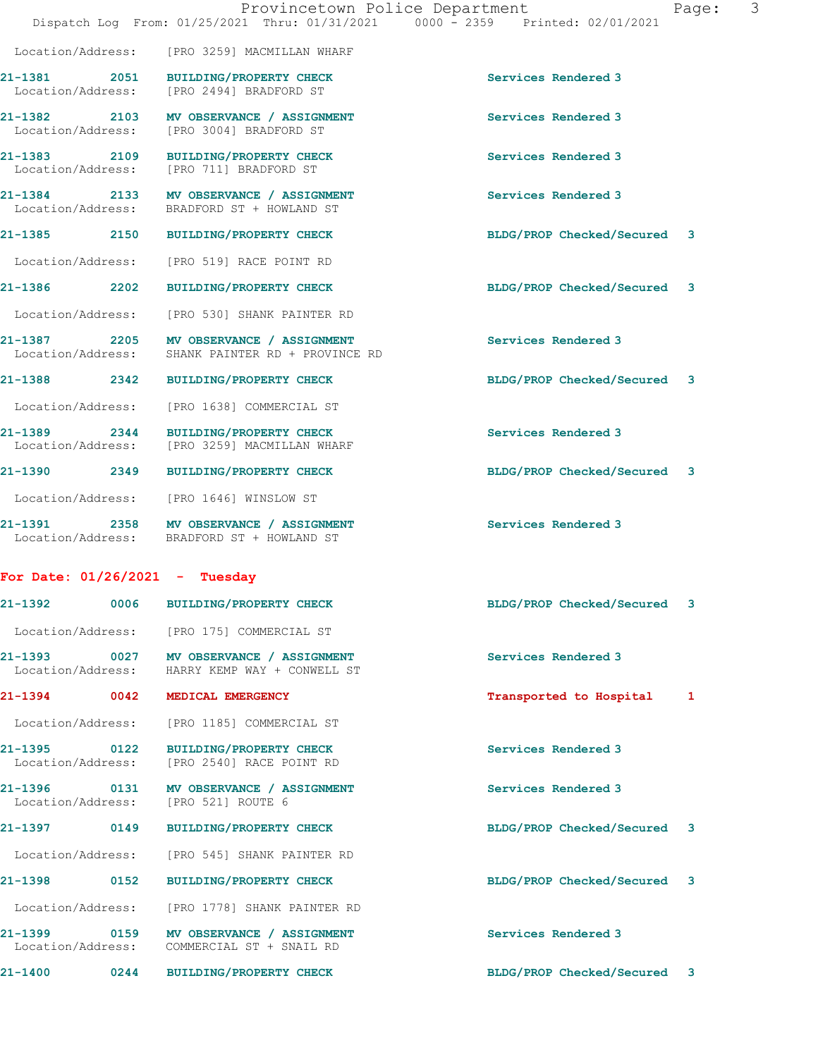| Location/Address:                 |      | [PRO 3259] MACMILLAN WHARF                                                            |                             |   |  |
|-----------------------------------|------|---------------------------------------------------------------------------------------|-----------------------------|---|--|
| 21-1381 2051<br>Location/Address: |      | <b>BUILDING/PROPERTY CHECK</b><br>[PRO 2494] BRADFORD ST                              | Services Rendered 3         |   |  |
| 21-1382 2103<br>Location/Address: |      | MV OBSERVANCE / ASSIGNMENT<br>[PRO 3004] BRADFORD ST                                  | Services Rendered 3         |   |  |
| 21-1383 2109<br>Location/Address: |      | <b>BUILDING/PROPERTY CHECK</b><br>[PRO 711] BRADFORD ST                               | Services Rendered 3         |   |  |
| 21-1384 2133<br>Location/Address: |      | MV OBSERVANCE / ASSIGNMENT<br>BRADFORD ST + HOWLAND ST                                | Services Rendered 3         |   |  |
| 21-1385 2150                      |      | <b>BUILDING/PROPERTY CHECK</b>                                                        | BLDG/PROP Checked/Secured 3 |   |  |
| Location/Address:                 |      | [PRO 519] RACE POINT RD                                                               |                             |   |  |
| 21-1386 2202                      |      | <b>BUILDING/PROPERTY CHECK</b>                                                        | BLDG/PROP Checked/Secured 3 |   |  |
| Location/Address:                 |      | [PRO 530] SHANK PAINTER RD                                                            |                             |   |  |
| 21-1387 2205<br>Location/Address: |      | MV OBSERVANCE / ASSIGNMENT<br>SHANK PAINTER RD + PROVINCE RD                          | Services Rendered 3         |   |  |
| 21-1388 2342                      |      | <b>BUILDING/PROPERTY CHECK</b>                                                        | BLDG/PROP Checked/Secured 3 |   |  |
| Location/Address:                 |      | [PRO 1638] COMMERCIAL ST                                                              |                             |   |  |
| 21-1389 2344                      |      | BUILDING/PROPERTY CHECK<br>Location/Address: [PRO 3259] MACMILLAN WHARF               | Services Rendered 3         |   |  |
| 21-1390 2349                      |      | <b>BUILDING/PROPERTY CHECK</b>                                                        | BLDG/PROP Checked/Secured 3 |   |  |
| Location/Address:                 |      | [PRO 1646] WINSLOW ST                                                                 |                             |   |  |
|                                   |      | 21-1391 2358 MV OBSERVANCE / ASSIGNMENT<br>Location/Address: BRADFORD ST + HOWLAND ST | Services Rendered 3         |   |  |
| For Date: $01/26/2021$ - Tuesday  |      |                                                                                       |                             |   |  |
| $21 - 1392$                       | 0006 | <b>BUILDING/PROPERTY CHECK</b>                                                        | BLDG/PROP Checked/Secured   | 3 |  |
|                                   |      | Location/Address: [PRO 175] COMMERCIAL ST                                             |                             |   |  |
| 21-1393 0027<br>Location/Address: |      | MV OBSERVANCE / ASSIGNMENT<br>HARRY KEMP WAY + CONWELL ST                             | Services Rendered 3         |   |  |
| 21-1394                           | 0042 | MEDICAL EMERGENCY                                                                     | Transported to Hospital     | 1 |  |
| Location/Address:                 |      | [PRO 1185] COMMERCIAL ST                                                              |                             |   |  |
| 21-1395 0122<br>Location/Address: |      | <b>BUILDING/PROPERTY CHECK</b><br>[PRO 2540] RACE POINT RD                            | Services Rendered 3         |   |  |
| 21-1396 0131<br>Location/Address: |      | MV OBSERVANCE / ASSIGNMENT<br>[PRO 521] ROUTE 6                                       | Services Rendered 3         |   |  |
| 21-1397                           | 0149 | <b>BUILDING/PROPERTY CHECK</b>                                                        | BLDG/PROP Checked/Secured   | 3 |  |
| Location/Address:                 |      | [PRO 545] SHANK PAINTER RD                                                            |                             |   |  |
| 21-1398 0152                      |      | <b>BUILDING/PROPERTY CHECK</b>                                                        | BLDG/PROP Checked/Secured 3 |   |  |
| Location/Address:                 |      | [PRO 1778] SHANK PAINTER RD                                                           |                             |   |  |
| 21-1399<br>Location/Address:      | 0159 | MV OBSERVANCE / ASSIGNMENT<br>COMMERCIAL ST + SNAIL RD                                | Services Rendered 3         |   |  |
| 21-1400                           | 0244 | <b>BUILDING/PROPERTY CHECK</b>                                                        | BLDG/PROP Checked/Secured   | 3 |  |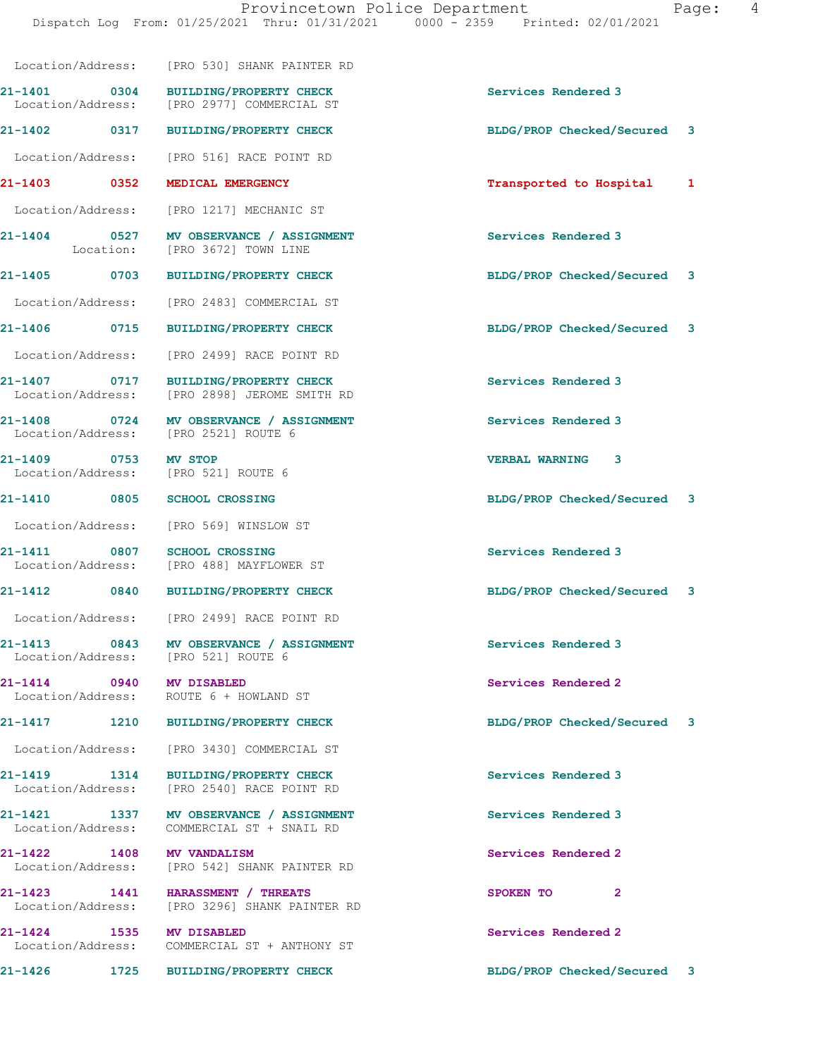|                                   |      | Location/Address: [PRO 530] SHANK PAINTER RD                                       |                             |              |
|-----------------------------------|------|------------------------------------------------------------------------------------|-----------------------------|--------------|
| $21 - 1401$ 0304                  |      | <b>BUILDING/PROPERTY CHECK</b><br>Location/Address: [PRO 2977] COMMERCIAL ST       | Services Rendered 3         |              |
| 21-1402 0317                      |      | <b>BUILDING/PROPERTY CHECK</b>                                                     | BLDG/PROP Checked/Secured 3 |              |
| Location/Address:                 |      | [PRO 516] RACE POINT RD                                                            |                             |              |
| $21 - 1403$ 0352                  |      | MEDICAL EMERGENCY                                                                  | Transported to Hospital     | 1            |
| Location/Address:                 |      | [PRO 1217] MECHANIC ST                                                             |                             |              |
|                                   |      | 21-1404 0527 MV OBSERVANCE / ASSIGNMENT<br>Location: [PRO 3672] TOWN LINE          | Services Rendered 3         |              |
| 21-1405 0703                      |      | <b>BUILDING/PROPERTY CHECK</b>                                                     | BLDG/PROP Checked/Secured 3 |              |
| Location/Address:                 |      | [PRO 2483] COMMERCIAL ST                                                           |                             |              |
|                                   |      | 21-1406 0715 BUILDING/PROPERTY CHECK                                               | BLDG/PROP Checked/Secured   | $\mathbf{3}$ |
| Location/Address:                 |      | [PRO 2499] RACE POINT RD                                                           |                             |              |
| 21-1407 0717<br>Location/Address: |      | <b>BUILDING/PROPERTY CHECK</b><br>[PRO 2898] JEROME SMITH RD                       | Services Rendered 3         |              |
|                                   |      | 21-1408 0724 MV OBSERVANCE / ASSIGNMENT<br>Location/Address: [PRO 2521] ROUTE 6    | Services Rendered 3         |              |
| 21-1409 0753                      |      | MV STOP<br>Location/Address: [PRO 521] ROUTE 6                                     | VERBAL WARNING 3            |              |
| 21-1410                           | 0805 | <b>SCHOOL CROSSING</b>                                                             | BLDG/PROP Checked/Secured 3 |              |
|                                   |      | Location/Address: [PRO 569] WINSLOW ST                                             |                             |              |
|                                   |      | 21-1411 0807 SCHOOL CROSSING<br>Location/Address: [PRO 488] MAYFLOWER ST           | Services Rendered 3         |              |
|                                   |      | 21-1412 0840 BUILDING/PROPERTY CHECK                                               | BLDG/PROP Checked/Secured 3 |              |
|                                   |      | Location/Address: [PRO 2499] RACE POINT RD                                         |                             |              |
| 21-1413                           | 0843 | MV OBSERVANCE / ASSIGNMENT<br>Location/Address: [PRO 521] ROUTE 6                  | Services Rendered 3         |              |
| 21-1414 0940 MV DISABLED          |      | Location/Address: ROUTE 6 + HOWLAND ST                                             | Services Rendered 2         |              |
|                                   |      | 21-1417 1210 BUILDING/PROPERTY CHECK                                               | BLDG/PROP Checked/Secured   | 3            |
| Location/Address:                 |      | [PRO 3430] COMMERCIAL ST                                                           |                             |              |
| 21-1419 1314<br>Location/Address: |      | <b>BUILDING/PROPERTY CHECK</b><br>[PRO 2540] RACE POINT RD                         | Services Rendered 3         |              |
| Location/Address:                 |      | 21-1421 1337 MV OBSERVANCE / ASSIGNMENT<br>COMMERCIAL ST + SNAIL RD                | Services Rendered 3         |              |
| 21-1422 1408 MV VANDALISM         |      | Location/Address: [PRO 542] SHANK PAINTER RD                                       | Services Rendered 2         |              |
|                                   |      | 21-1423 1441 HARASSMENT / THREATS<br>Location/Address: [PRO 3296] SHANK PAINTER RD | SPOKEN TO<br>2              |              |
| 21-1424 1535<br>Location/Address: |      | <b>MV DISABLED</b><br>COMMERCIAL ST + ANTHONY ST                                   | Services Rendered 2         |              |
| 21-1426                           | 1725 | <b>BUILDING/PROPERTY CHECK</b>                                                     | BLDG/PROP Checked/Secured 3 |              |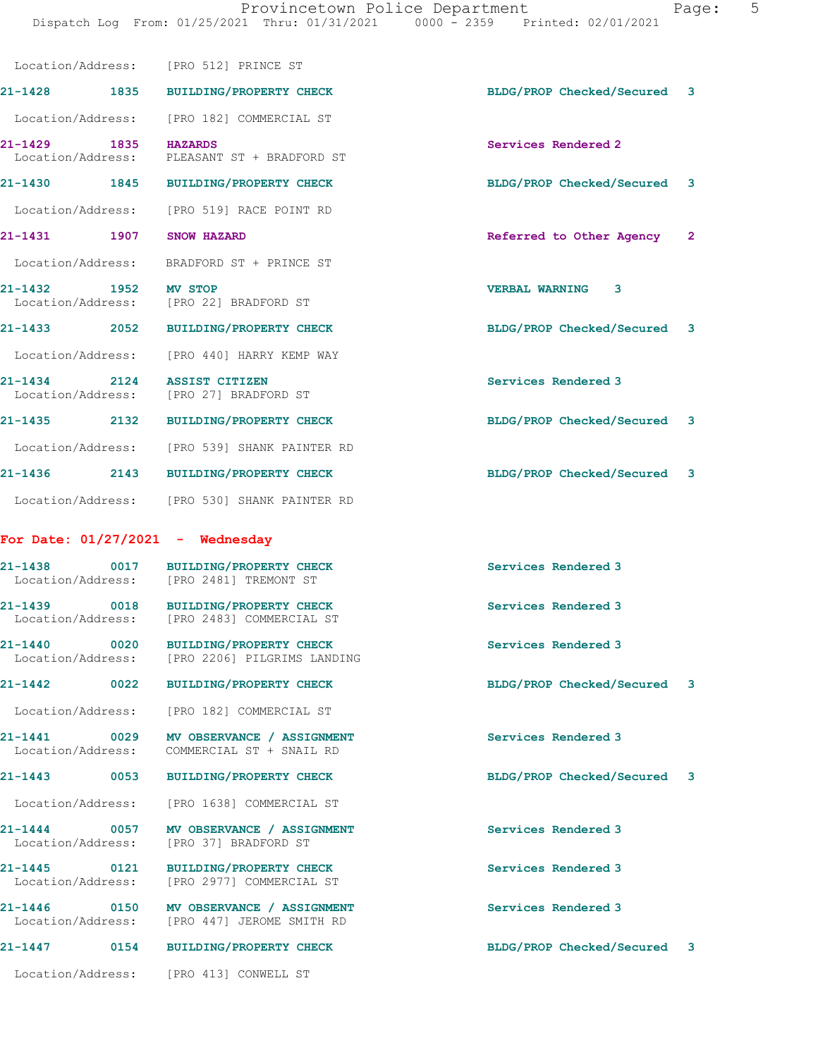|                                      | Location/Address: [PRO 512] PRINCE ST                                                   |                                          |  |
|--------------------------------------|-----------------------------------------------------------------------------------------|------------------------------------------|--|
|                                      | 21-1428 1835 BUILDING/PROPERTY CHECK                                                    | BLDG/PROP Checked/Secured<br>3           |  |
|                                      | Location/Address: [PRO 182] COMMERCIAL ST                                               |                                          |  |
| 1835<br>21-1429<br>Location/Address: | <b>HAZARDS</b><br>PLEASANT ST + BRADFORD ST                                             | Services Rendered 2                      |  |
| 21-1430 1845                         | <b>BUILDING/PROPERTY CHECK</b>                                                          | BLDG/PROP Checked/Secured<br>3           |  |
|                                      | Location/Address: [PRO 519] RACE POINT RD                                               |                                          |  |
| 21-1431 1907                         | <b>SNOW HAZARD</b>                                                                      | Referred to Other Agency<br>$\mathbf{2}$ |  |
|                                      | Location/Address: BRADFORD ST + PRINCE ST                                               |                                          |  |
| 21-1432 1952                         | <b>MV STOP</b><br>Location/Address: [PRO 22] BRADFORD ST                                | <b>VERBAL WARNING 3</b>                  |  |
| $21 - 1433$ 2052                     | <b>BUILDING/PROPERTY CHECK</b>                                                          | BLDG/PROP Checked/Secured<br>3           |  |
|                                      | Location/Address: [PRO 440] HARRY KEMP WAY                                              |                                          |  |
| 21-1434 2124                         | <b>ASSIST CITIZEN</b><br>Location/Address: [PRO 27] BRADFORD ST                         | Services Rendered 3                      |  |
|                                      | 21-1435 2132 BUILDING/PROPERTY CHECK                                                    | BLDG/PROP Checked/Secured<br>3           |  |
|                                      | Location/Address: [PRO 539] SHANK PAINTER RD                                            |                                          |  |
| 21-1436                              | 2143 BUILDING/PROPERTY CHECK                                                            | BLDG/PROP Checked/Secured<br>3           |  |
|                                      | Location/Address: [PRO 530] SHANK PAINTER RD                                            |                                          |  |
| For Date: $01/27/2021$ - Wednesday   |                                                                                         |                                          |  |
| 0017<br>21-1438                      | <b>BUILDING/PROPERTY CHECK</b><br>Location/Address: [PRO 2481] TREMONT ST               | Services Rendered 3                      |  |
|                                      | 21-1439 0018 BUILDING/PROPERTY CHECK<br>Location/Address: [PRO 2483] COMMERCIAL ST      | Services Rendered 3                      |  |
| 0020<br>21-1440                      | BUILDING/PROPERTY CHECK<br>Location/Address: [PRO 2206] PILGRIMS LANDING                | Services Rendered 3                      |  |
| 21-1442<br>0022                      | <b>BUILDING/PROPERTY CHECK</b>                                                          | BLDG/PROP Checked/Secured<br>3           |  |
|                                      | Location/Address: [PRO 182] COMMERCIAL ST                                               |                                          |  |
| 21-1441 0029<br>Location/Address:    | MV OBSERVANCE / ASSIGNMENT<br>COMMERCIAL ST + SNAIL RD                                  | Services Rendered 3                      |  |
| 21-1443                              | 0053 BUILDING/PROPERTY CHECK                                                            | BLDG/PROP Checked/Secured<br>3           |  |
|                                      | Location/Address: [PRO 1638] COMMERCIAL ST                                              |                                          |  |
| $21 - 1444$ 0057                     | MV OBSERVANCE / ASSIGNMENT<br>Location/Address: [PRO 37] BRADFORD ST                    | Services Rendered 3                      |  |
| 21-1445 0121                         | <b>BUILDING/PROPERTY CHECK</b><br>Location/Address: [PRO 2977] COMMERCIAL ST            | Services Rendered 3                      |  |
|                                      | 21-1446  0150 MV OBSERVANCE / ASSIGNMENT<br>Location/Address: [PRO 447] JEROME SMITH RD | Services Rendered 3                      |  |
| 21-1447                              | 0154 BUILDING/PROPERTY CHECK                                                            | BLDG/PROP Checked/Secured<br>3           |  |
|                                      | Location/Address: [PRO 413] CONWELL ST                                                  |                                          |  |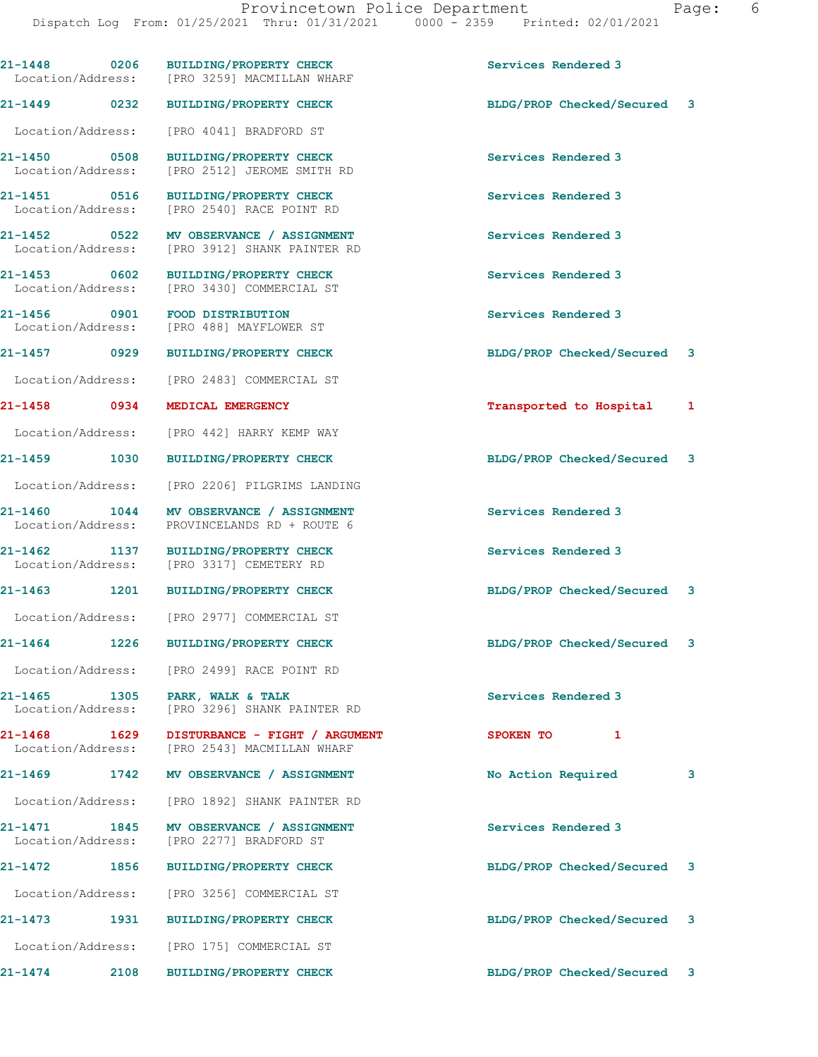|                                   |      | 21-1448 0206 BUILDING/PROPERTY CHECK<br>Location/Address: [PRO 3259] MACMILLAN WHARF        | Services Rendered 3         |   |
|-----------------------------------|------|---------------------------------------------------------------------------------------------|-----------------------------|---|
| 21–1449 0232                      |      | <b>BUILDING/PROPERTY CHECK</b>                                                              | BLDG/PROP Checked/Secured 3 |   |
| Location/Address:                 |      | [PRO 4041] BRADFORD ST                                                                      |                             |   |
| 21-1450 0508<br>Location/Address: |      | <b>BUILDING/PROPERTY CHECK</b><br>[PRO 2512] JEROME SMITH RD                                | Services Rendered 3         |   |
| 21-1451 0516<br>Location/Address: |      | <b>BUILDING/PROPERTY CHECK</b><br>[PRO 2540] RACE POINT RD                                  | Services Rendered 3         |   |
| 21-1452 0522<br>Location/Address: |      | MV OBSERVANCE / ASSIGNMENT<br>[PRO 3912] SHANK PAINTER RD                                   | Services Rendered 3         |   |
| 21-1453 0602                      |      | <b>BUILDING/PROPERTY CHECK</b><br>Location/Address: [PRO 3430] COMMERCIAL ST                | Services Rendered 3         |   |
| 21-1456 0901<br>Location/Address: |      | FOOD DISTRIBUTION<br>[PRO 488] MAYFLOWER ST                                                 | Services Rendered 3         |   |
| 21-1457 0929                      |      | <b>BUILDING/PROPERTY CHECK</b>                                                              | BLDG/PROP Checked/Secured 3 |   |
| Location/Address:                 |      | [PRO 2483] COMMERCIAL ST                                                                    |                             |   |
| 21-1458 0934                      |      | MEDICAL EMERGENCY                                                                           | Transported to Hospital 1   |   |
| Location/Address:                 |      | [PRO 442] HARRY KEMP WAY                                                                    |                             |   |
| 21-1459 1030                      |      | <b>BUILDING/PROPERTY CHECK</b>                                                              | BLDG/PROP Checked/Secured 3 |   |
| Location/Address:                 |      | [PRO 2206] PILGRIMS LANDING                                                                 |                             |   |
| 21-1460 1044<br>Location/Address: |      | MV OBSERVANCE / ASSIGNMENT<br>PROVINCELANDS RD + ROUTE 6                                    | Services Rendered 3         |   |
| 21-1462 1137<br>Location/Address: |      | <b>BUILDING/PROPERTY CHECK</b><br>[PRO 3317] CEMETERY RD                                    | Services Rendered 3         |   |
|                                   |      | 21-1463 1201 BUILDING/PROPERTY CHECK                                                        | BLDG/PROP Checked/Secured 3 |   |
|                                   |      | Location/Address: [PRO 2977] COMMERCIAL ST                                                  |                             |   |
| 21-1464 1226                      |      | <b>BUILDING/PROPERTY CHECK</b>                                                              | BLDG/PROP Checked/Secured 3 |   |
|                                   |      | Location/Address: [PRO 2499] RACE POINT RD                                                  |                             |   |
| Location/Address:                 |      | 21-1465 1305 PARK, WALK & TALK<br>[PRO 3296] SHANK PAINTER RD                               | Services Rendered 3         |   |
|                                   |      | 21-1468 1629 DISTURBANCE - FIGHT / ARGUMENT<br>Location/Address: [PRO 2543] MACMILLAN WHARF | SPOKEN TO 1                 |   |
|                                   |      | 21-1469 1742 MV OBSERVANCE / ASSIGNMENT                                                     | No Action Required          | 3 |
|                                   |      | Location/Address: [PRO 1892] SHANK PAINTER RD                                               |                             |   |
|                                   |      | 21-1471 1845 MV OBSERVANCE / ASSIGNMENT<br>Location/Address: [PRO 2277] BRADFORD ST         | Services Rendered 3         |   |
| 21-1472                           | 1856 | <b>BUILDING/PROPERTY CHECK</b>                                                              | BLDG/PROP Checked/Secured 3 |   |
|                                   |      | Location/Address: [PRO 3256] COMMERCIAL ST                                                  |                             |   |
|                                   |      | 21-1473 1931 BUILDING/PROPERTY CHECK                                                        | BLDG/PROP Checked/Secured 3 |   |
| Location/Address:                 |      | [PRO 175] COMMERCIAL ST                                                                     |                             |   |
| 21-1474                           | 2108 | <b>BUILDING/PROPERTY CHECK</b>                                                              | BLDG/PROP Checked/Secured 3 |   |
|                                   |      |                                                                                             |                             |   |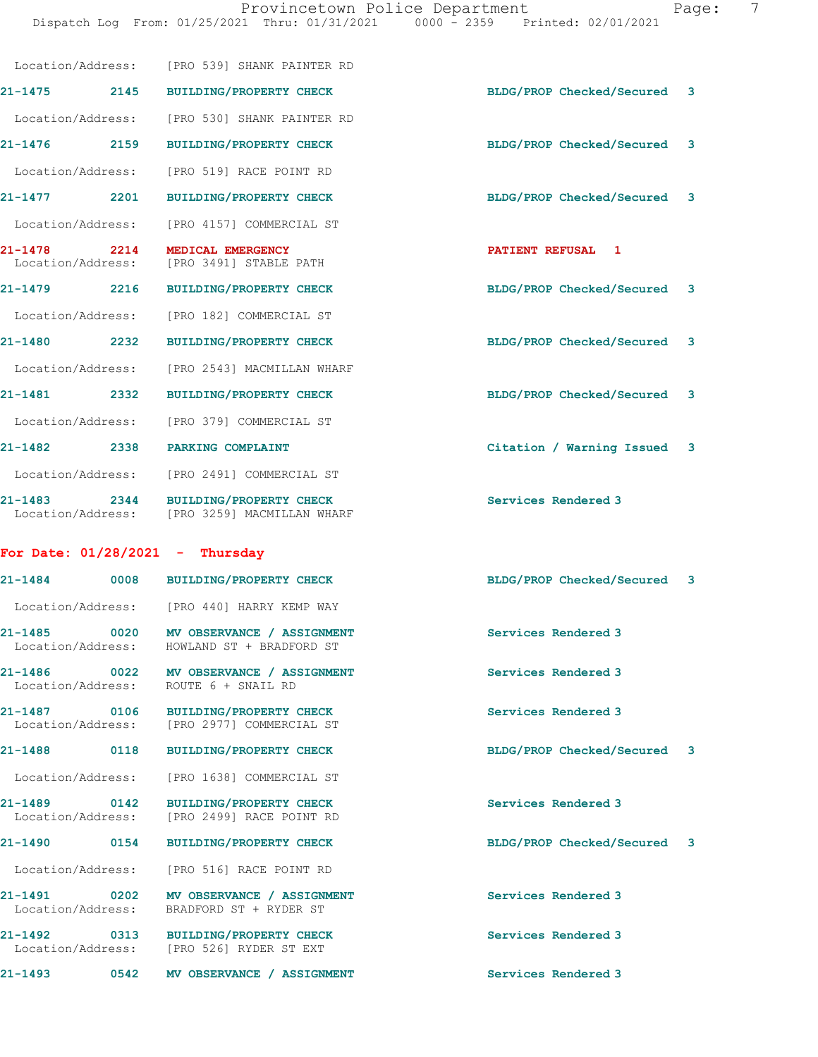|                                             | Location/Address: [PRO 539] SHANK PAINTER RD                                          |                                |
|---------------------------------------------|---------------------------------------------------------------------------------------|--------------------------------|
| 21-1475 2145                                | <b>BUILDING/PROPERTY CHECK</b>                                                        | BLDG/PROP Checked/Secured<br>3 |
| Location/Address:                           | [PRO 530] SHANK PAINTER RD                                                            |                                |
| 21-1476 2159                                | <b>BUILDING/PROPERTY CHECK</b>                                                        | BLDG/PROP Checked/Secured<br>3 |
|                                             | Location/Address: [PRO 519] RACE POINT RD                                             |                                |
| 21-1477 2201                                | <b>BUILDING/PROPERTY CHECK</b>                                                        | BLDG/PROP Checked/Secured<br>3 |
| Location/Address:                           | [PRO 4157] COMMERCIAL ST                                                              |                                |
| 21-1478 2214<br>Location/Address:           | MEDICAL EMERGENCY<br>[PRO 3491] STABLE PATH                                           | PATIENT REFUSAL 1              |
| 21-1479 2216                                | <b>BUILDING/PROPERTY CHECK</b>                                                        | BLDG/PROP Checked/Secured 3    |
|                                             | Location/Address: [PRO 182] COMMERCIAL ST                                             |                                |
| 21-1480 2232                                | <b>BUILDING/PROPERTY CHECK</b>                                                        | BLDG/PROP Checked/Secured<br>3 |
| Location/Address:                           | [PRO 2543] MACMILLAN WHARF                                                            |                                |
| 2332<br>21-1481                             | <b>BUILDING/PROPERTY CHECK</b>                                                        | BLDG/PROP Checked/Secured<br>3 |
|                                             | Location/Address: [PRO 379] COMMERCIAL ST                                             |                                |
| 21-1482 2338                                | PARKING COMPLAINT                                                                     | Citation / Warning Issued<br>3 |
|                                             | Location/Address: [PRO 2491] COMMERCIAL ST                                            |                                |
| $21 - 1483$ 2344                            | <b>BUILDING/PROPERTY CHECK</b><br>Location/Address: [PRO 3259] MACMILLAN WHARF        | Services Rendered 3            |
| For Date: $01/28/2021$ - Thursday           |                                                                                       |                                |
| 21-1484                                     | 0008 BUILDING/PROPERTY CHECK                                                          | BLDG/PROP Checked/Secured<br>3 |
|                                             | Location/Address: [PRO 440] HARRY KEMP WAY                                            |                                |
|                                             | 21-1485 0020 MV OBSERVANCE / ASSIGNMENT<br>Location/Address: HOWLAND ST + BRADFORD ST | Services Rendered 3            |
|                                             | 21-1486 0022 MV OBSERVANCE / ASSIGNMENT<br>Location/Address: ROUTE 6 + SNAIL RD       | Services Rendered 3            |
| 21-1487 0106                                | <b>BUILDING/PROPERTY CHECK</b><br>Location/Address: [PRO 2977] COMMERCIAL ST          | Services Rendered 3            |
| 21-1488<br>0118                             | <b>BUILDING/PROPERTY CHECK</b>                                                        | BLDG/PROP Checked/Secured<br>3 |
| Location/Address:                           | [PRO 1638] COMMERCIAL ST                                                              |                                |
| $21 - 1489$<br>0142<br>Location/Address:    | <b>BUILDING/PROPERTY CHECK</b><br>[PRO 2499] RACE POINT RD                            | Services Rendered 3            |
| 21-1490<br>0154                             | <b>BUILDING/PROPERTY CHECK</b>                                                        | BLDG/PROP Checked/Secured<br>3 |
| Location/Address:                           | [PRO 516] RACE POINT RD                                                               |                                |
| 21-1491<br>$\sim$ 0202<br>Location/Address: | MV OBSERVANCE / ASSIGNMENT<br>BRADFORD ST + RYDER ST                                  | Services Rendered 3            |
| 21-1492<br>$\overline{\text{0313}}$         | <b>BUILDING/PROPERTY CHECK</b><br>Location/Address: [PRO 526] RYDER ST EXT            | Services Rendered 3            |
| 21-1493<br>0542                             | MV OBSERVANCE / ASSIGNMENT                                                            | Services Rendered 3            |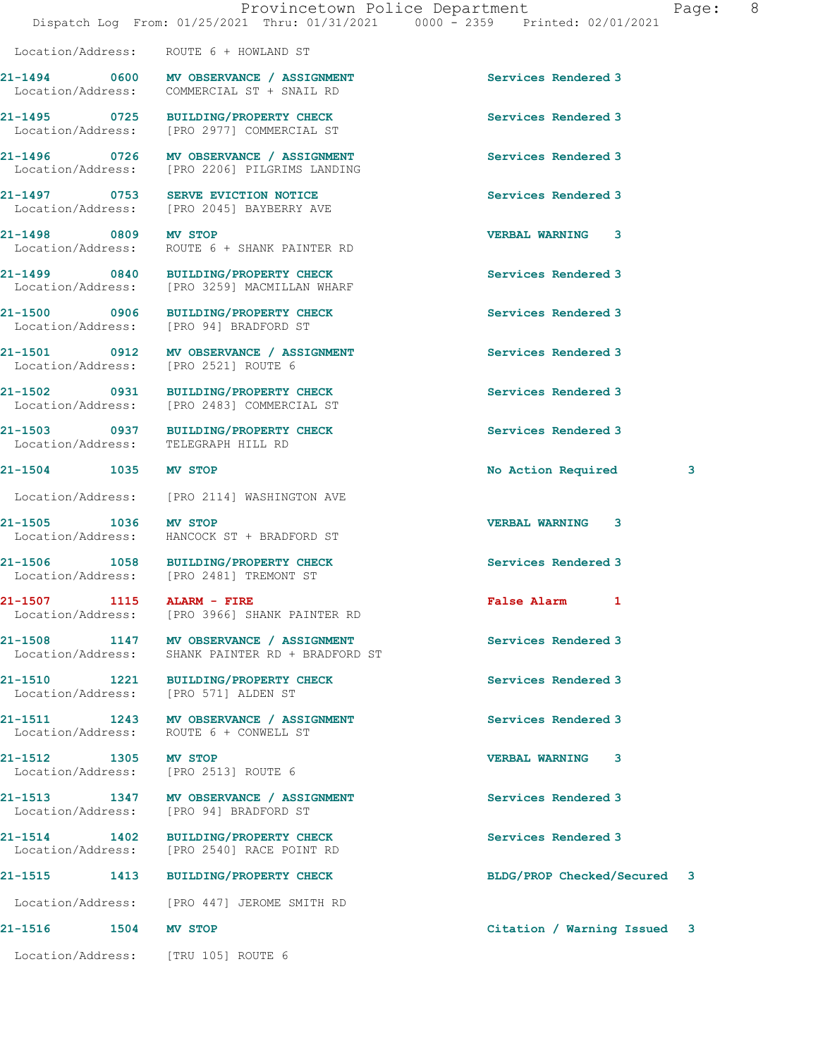Location/Address: ROUTE 6 + HOWLAND ST

| 'aqe: |  |
|-------|--|
|-------|--|

|                                                      | 21-1494 0600 MV OBSERVANCE / ASSIGNMENT<br>Location/Address: COMMERCIAL ST + SNAIL RD       | Services Rendered 3         |   |
|------------------------------------------------------|---------------------------------------------------------------------------------------------|-----------------------------|---|
|                                                      | 21-1495 0725 BUILDING/PROPERTY CHECK<br>Location/Address: [PRO 2977] COMMERCIAL ST          | Services Rendered 3         |   |
|                                                      | 21-1496 0726 MV OBSERVANCE / ASSIGNMENT<br>Location/Address: [PRO 2206] PILGRIMS LANDING    | Services Rendered 3         |   |
|                                                      | 21-1497 0753 SERVE EVICTION NOTICE<br>Location/Address: [PRO 2045] BAYBERRY AVE             | Services Rendered 3         |   |
| 21-1498 0809 MV STOP                                 | Location/Address: ROUTE 6 + SHANK PAINTER RD                                                | <b>VERBAL WARNING 3</b>     |   |
|                                                      | 21-1499 0840 BUILDING/PROPERTY CHECK<br>Location/Address: [PRO 3259] MACMILLAN WHARF        | Services Rendered 3         |   |
|                                                      | 21-1500 0906 BUILDING/PROPERTY CHECK<br>Location/Address: [PRO 94] BRADFORD ST              | Services Rendered 3         |   |
| Location/Address: [PRO 2521] ROUTE 6                 | 21-1501 0912 MV OBSERVANCE / ASSIGNMENT                                                     | Services Rendered 3         |   |
|                                                      | 21-1502 0931 BUILDING/PROPERTY CHECK<br>Location/Address: [PRO 2483] COMMERCIAL ST          | Services Rendered 3         |   |
| Location/Address: TELEGRAPH HILL RD                  | 21-1503 0937 BUILDING/PROPERTY CHECK                                                        | Services Rendered 3         |   |
| 21-1504 1035 MV STOP                                 |                                                                                             | No Action Required          | 3 |
|                                                      | Location/Address: [PRO 2114] WASHINGTON AVE                                                 |                             |   |
| 21-1505 1036 MV STOP                                 | Location/Address: HANCOCK ST + BRADFORD ST                                                  | <b>VERBAL WARNING 3</b>     |   |
|                                                      | 21-1506 1058 BUILDING/PROPERTY CHECK<br>Location/Address: [PRO 2481] TREMONT ST             | Services Rendered 3         |   |
| 21-1507 1115 ALARM - FIRE                            | Location/Address: [PRO 3966] SHANK PAINTER RD                                               | False Alarm 1               |   |
|                                                      | 21-1508 1147 MV OBSERVANCE / ASSIGNMENT<br>Location/Address: SHANK PAINTER RD + BRADFORD ST | Services Rendered 3         |   |
| 21-1510 1221<br>Location/Address: [PRO 571] ALDEN ST | <b>BUILDING/PROPERTY CHECK</b>                                                              | Services Rendered 3         |   |
|                                                      | 21-1511 1243 MV OBSERVANCE / ASSIGNMENT<br>Location/Address: ROUTE 6 + CONWELL ST           | Services Rendered 3         |   |
| 21-1512 1305<br>Location/Address:                    | MV STOP<br>[PRO 2513] ROUTE 6                                                               | <b>VERBAL WARNING 3</b>     |   |
| Location/Address:                                    | 21-1513 1347 MV OBSERVANCE / ASSIGNMENT<br>[PRO 94] BRADFORD ST                             | Services Rendered 3         |   |
| 21-1514                                              | 21-1514 1402 BUILDING/PROPERTY CHECK<br>Location/Address: [PRO 2540] RACE POINT RD          | Services Rendered 3         |   |
| 21-1515<br>1413                                      | <b>BUILDING/PROPERTY CHECK</b>                                                              | BLDG/PROP Checked/Secured 3 |   |
|                                                      | Location/Address: [PRO 447] JEROME SMITH RD                                                 |                             |   |
| 21-1516<br>1504 MV STOP                              |                                                                                             | Citation / Warning Issued 3 |   |
| Location/Address: [TRU 105] ROUTE 6                  |                                                                                             |                             |   |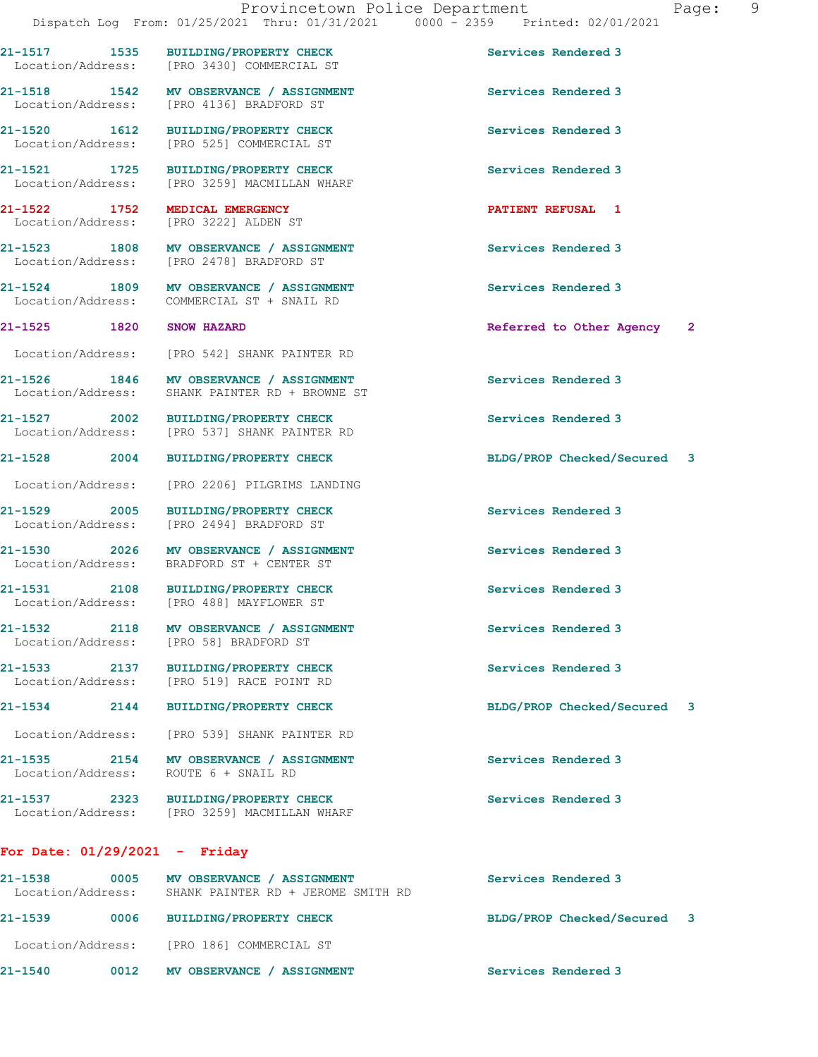**21-1517 1535 BUILDING/PROPERTY CHECK Services Rendered 3**  Location/Address: [PRO 3430] COMMERCIAL ST

Location/Address:

**21-1535 2154 MV OBSERVANCE / ASSIGNMENT Services Rendered 3** 

**21-1537 2323 BUILDING/PROPERTY CHECK Services Rendered 3**  Location/Address: [PRO 3259] MACMILLAN WHARF

## **For Date: 01/29/2021 - Friday**

**21-1538 0005 MV OBSERVANCE / ASSIGNMENT Services Rendered 3**  SHANK PAINTER RD + JEROME SMITH RD **21-1539 0006 BUILDING/PROPERTY CHECK BLDG/PROP Checked/Secured 3** Location/Address: [PRO 186] COMMERCIAL ST **21-1540 0012 MV OBSERVANCE / ASSIGNMENT Services Rendered 3** 

**21-1518 1542 MV OBSERVANCE / ASSIGNMENT Services Rendered 3**  Location/Address: [PRO 4136] BRADFORD ST **21-1520 1612 BUILDING/PROPERTY CHECK Services Rendered 3**  Location/Address: [PRO 525] COMMERCIAL ST

**21-1521** 1725 BUILDING/PROPERTY CHECK Services Rendered 3<br>
Location/Address: [PRO 3259] MACMILLAN WHARF [PRO 3259] MACMILLAN WHARF

**21-1522 1752 MEDICAL EMERGENCY PATIENT REFUSAL 1** 

**21-1523 1808 MV OBSERVANCE / ASSIGNMENT Services Rendered 3**  Location/Address: [PRO 2478] BRADFORD ST

**21-1524 1809 MV OBSERVANCE / ASSIGNMENT Services Rendered 3**  Location/Address: COMMERCIAL ST + SNAIL RD

Location/Address: [PRO 542] SHANK PAINTER RD

**21-1526 1846 MV OBSERVANCE / ASSIGNMENT Services Rendered 3**  Location/Address: SHANK PAINTER RD + BROWNE ST

**21-1527 2002 BUILDING/PROPERTY CHECK Services Rendered 3**  Location/Address: [PRO 537] SHANK PAINTER RD

**21-1528 2004 BUILDING/PROPERTY CHECK BLDG/PROP Checked/Secured 3**

Location/Address: [PRO 2206] PILGRIMS LANDING

Location/Address: [PRO 2494] BRADFORD ST

21-1530 2026 MV OBSERVANCE / ASSIGNMENT **Services Rendered 3** Location/Address: BRADFORD ST + CENTER ST

**21-1531 2108 BUILDING/PROPERTY CHECK Services Rendered 3**  Location/Address: [PRO 488] MAYFLOWER ST

Location/Address: [PRO 58] BRADFORD ST

[PRO 519] RACE POINT RD

Location/Address: [PRO 539] SHANK PAINTER RD

**21-1532 2118 MV OBSERVANCE / ASSIGNMENT Services Rendered 3** 

**21-1533 2137 BUILDING/PROPERTY CHECK Services Rendered 3** 

**21-1534 2144 BUILDING/PROPERTY CHECK BLDG/PROP Checked/Secured 3**

Location/Address: ROUTE 6 + SNAIL RD

**21-1529 2005 BUILDING/PROPERTY CHECK Services Rendered 3** 

**21-1525 1820 SNOW HAZARD Referred to Other Agency 2**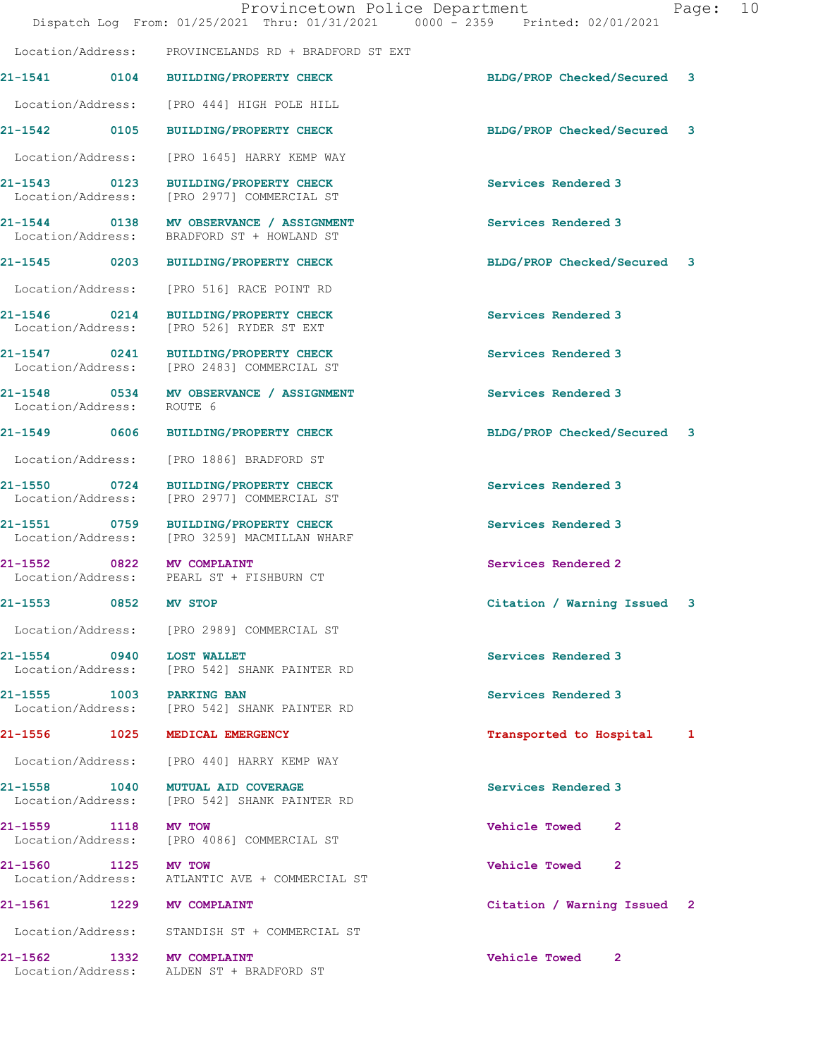|                                          | Provincetown Police Department<br>Dispatch Log From: 01/25/2021 Thru: 01/31/2021 0000 - 2359 Printed: 02/01/2021 |                             | Page: 10 |  |
|------------------------------------------|------------------------------------------------------------------------------------------------------------------|-----------------------------|----------|--|
|                                          | Location/Address: PROVINCELANDS RD + BRADFORD ST EXT                                                             |                             |          |  |
|                                          | 21-1541 0104 BUILDING/PROPERTY CHECK                                                                             | BLDG/PROP Checked/Secured 3 |          |  |
|                                          | Location/Address: [PRO 444] HIGH POLE HILL                                                                       |                             |          |  |
|                                          | 21-1542 0105 BUILDING/PROPERTY CHECK                                                                             | BLDG/PROP Checked/Secured 3 |          |  |
|                                          | Location/Address: [PRO 1645] HARRY KEMP WAY                                                                      |                             |          |  |
|                                          | 21-1543 0123 BUILDING/PROPERTY CHECK<br>Location/Address: [PRO 2977] COMMERCIAL ST                               | Services Rendered 3         |          |  |
|                                          | 21-1544 0138 MV OBSERVANCE / ASSIGNMENT<br>Location/Address: BRADFORD ST + HOWLAND ST                            | Services Rendered 3         |          |  |
|                                          | 21-1545 0203 BUILDING/PROPERTY CHECK                                                                             | BLDG/PROP Checked/Secured 3 |          |  |
|                                          | Location/Address: [PRO 516] RACE POINT RD                                                                        |                             |          |  |
|                                          | 21-1546 0214 BUILDING/PROPERTY CHECK<br>Location/Address: [PRO 526] RYDER ST EXT                                 | Services Rendered 3         |          |  |
|                                          | 21-1547 0241 BUILDING/PROPERTY CHECK<br>Location/Address: [PRO 2483] COMMERCIAL ST                               | Services Rendered 3         |          |  |
| Location/Address: ROUTE 6                | 21-1548 0534 MV OBSERVANCE / ASSIGNMENT                                                                          | Services Rendered 3         |          |  |
|                                          | 21-1549 0606 BUILDING/PROPERTY CHECK                                                                             | BLDG/PROP Checked/Secured 3 |          |  |
|                                          | Location/Address: [PRO 1886] BRADFORD ST                                                                         |                             |          |  |
|                                          | 21-1550 0724 BUILDING/PROPERTY CHECK<br>Location/Address: [PRO 2977] COMMERCIAL ST                               | Services Rendered 3         |          |  |
|                                          | 21-1551 0759 BUILDING/PROPERTY CHECK<br>Location/Address: [PRO 3259] MACMILLAN WHARF                             | Services Rendered 3         |          |  |
| 21-1552 0822 MV COMPLAINT                | Location/Address: PEARL ST + FISHBURN CT                                                                         | Services Rendered 2         |          |  |
| 21-1553 0852                             | MV STOP                                                                                                          | Citation / Warning Issued 3 |          |  |
|                                          | Location/Address: [PRO 2989] COMMERCIAL ST                                                                       |                             |          |  |
| 21-1554 0940 LOST WALLET                 | Location/Address: [PRO 542] SHANK PAINTER RD                                                                     | Services Rendered 3         |          |  |
| 21-1555 1003 PARKING BAN                 | Location/Address: [PRO 542] SHANK PAINTER RD                                                                     | Services Rendered 3         |          |  |
|                                          | 21-1556 1025 MEDICAL EMERGENCY                                                                                   | Transported to Hospital 1   |          |  |
|                                          | Location/Address: [PRO 440] HARRY KEMP WAY                                                                       |                             |          |  |
|                                          | 21-1558 1040 MUTUAL AID COVERAGE<br>Location/Address: [PRO 542] SHANK PAINTER RD                                 | Services Rendered 3         |          |  |
| 21-1559 1118                             | <b>MV TOW</b><br>Location/Address: [PRO 4086] COMMERCIAL ST                                                      | <b>Vehicle Towed</b><br>2   |          |  |
| 21-1560 1125 MV TOW<br>Location/Address: | ATLANTIC AVE + COMMERCIAL ST                                                                                     | Vehicle Towed 2             |          |  |
| 21-1561 1229 MV COMPLAINT                |                                                                                                                  | Citation / Warning Issued 2 |          |  |
|                                          | Location/Address: STANDISH ST + COMMERCIAL ST                                                                    |                             |          |  |
| 21-1562                                  | 1332 MV COMPLAINT<br>Location/Address: ALDEN ST + BRADFORD ST                                                    | Vehicle Towed 2             |          |  |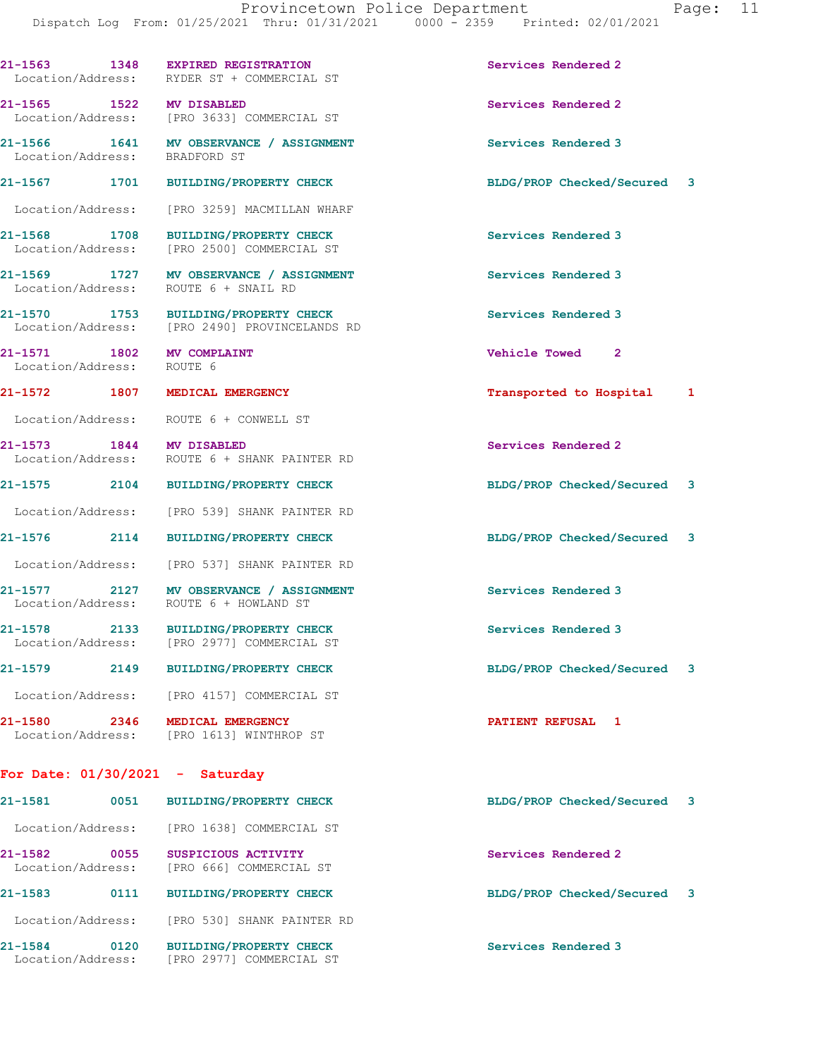**21-1563 1348 EXPIRED REGISTRATION Services Rendered 2** 

Location/Address: RYDER ST + COMMERCIAL ST

|      |                                | Services Rendered 2                                                                                                                                                                                                                                                                                                                                                                                                                                                                                                                                                                                                                                                                                                                                                                                                                                                                                                                                                                                                                                                                                                                                                                                                                                                                                                                                                                                                      |  |
|------|--------------------------------|--------------------------------------------------------------------------------------------------------------------------------------------------------------------------------------------------------------------------------------------------------------------------------------------------------------------------------------------------------------------------------------------------------------------------------------------------------------------------------------------------------------------------------------------------------------------------------------------------------------------------------------------------------------------------------------------------------------------------------------------------------------------------------------------------------------------------------------------------------------------------------------------------------------------------------------------------------------------------------------------------------------------------------------------------------------------------------------------------------------------------------------------------------------------------------------------------------------------------------------------------------------------------------------------------------------------------------------------------------------------------------------------------------------------------|--|
|      |                                | Services Rendered 3                                                                                                                                                                                                                                                                                                                                                                                                                                                                                                                                                                                                                                                                                                                                                                                                                                                                                                                                                                                                                                                                                                                                                                                                                                                                                                                                                                                                      |  |
|      |                                | BLDG/PROP Checked/Secured 3                                                                                                                                                                                                                                                                                                                                                                                                                                                                                                                                                                                                                                                                                                                                                                                                                                                                                                                                                                                                                                                                                                                                                                                                                                                                                                                                                                                              |  |
|      |                                |                                                                                                                                                                                                                                                                                                                                                                                                                                                                                                                                                                                                                                                                                                                                                                                                                                                                                                                                                                                                                                                                                                                                                                                                                                                                                                                                                                                                                          |  |
|      |                                | Services Rendered 3                                                                                                                                                                                                                                                                                                                                                                                                                                                                                                                                                                                                                                                                                                                                                                                                                                                                                                                                                                                                                                                                                                                                                                                                                                                                                                                                                                                                      |  |
|      |                                | Services Rendered 3                                                                                                                                                                                                                                                                                                                                                                                                                                                                                                                                                                                                                                                                                                                                                                                                                                                                                                                                                                                                                                                                                                                                                                                                                                                                                                                                                                                                      |  |
|      |                                | Services Rendered 3                                                                                                                                                                                                                                                                                                                                                                                                                                                                                                                                                                                                                                                                                                                                                                                                                                                                                                                                                                                                                                                                                                                                                                                                                                                                                                                                                                                                      |  |
|      |                                | Vehicle Towed 2                                                                                                                                                                                                                                                                                                                                                                                                                                                                                                                                                                                                                                                                                                                                                                                                                                                                                                                                                                                                                                                                                                                                                                                                                                                                                                                                                                                                          |  |
|      |                                | Transported to Hospital 1                                                                                                                                                                                                                                                                                                                                                                                                                                                                                                                                                                                                                                                                                                                                                                                                                                                                                                                                                                                                                                                                                                                                                                                                                                                                                                                                                                                                |  |
|      |                                |                                                                                                                                                                                                                                                                                                                                                                                                                                                                                                                                                                                                                                                                                                                                                                                                                                                                                                                                                                                                                                                                                                                                                                                                                                                                                                                                                                                                                          |  |
|      |                                | Services Rendered 2                                                                                                                                                                                                                                                                                                                                                                                                                                                                                                                                                                                                                                                                                                                                                                                                                                                                                                                                                                                                                                                                                                                                                                                                                                                                                                                                                                                                      |  |
|      |                                | BLDG/PROP Checked/Secured 3                                                                                                                                                                                                                                                                                                                                                                                                                                                                                                                                                                                                                                                                                                                                                                                                                                                                                                                                                                                                                                                                                                                                                                                                                                                                                                                                                                                              |  |
|      |                                |                                                                                                                                                                                                                                                                                                                                                                                                                                                                                                                                                                                                                                                                                                                                                                                                                                                                                                                                                                                                                                                                                                                                                                                                                                                                                                                                                                                                                          |  |
|      | <b>BUILDING/PROPERTY CHECK</b> | BLDG/PROP Checked/Secured 3                                                                                                                                                                                                                                                                                                                                                                                                                                                                                                                                                                                                                                                                                                                                                                                                                                                                                                                                                                                                                                                                                                                                                                                                                                                                                                                                                                                              |  |
|      |                                |                                                                                                                                                                                                                                                                                                                                                                                                                                                                                                                                                                                                                                                                                                                                                                                                                                                                                                                                                                                                                                                                                                                                                                                                                                                                                                                                                                                                                          |  |
|      |                                | Services Rendered 3                                                                                                                                                                                                                                                                                                                                                                                                                                                                                                                                                                                                                                                                                                                                                                                                                                                                                                                                                                                                                                                                                                                                                                                                                                                                                                                                                                                                      |  |
|      |                                | Services Rendered 3                                                                                                                                                                                                                                                                                                                                                                                                                                                                                                                                                                                                                                                                                                                                                                                                                                                                                                                                                                                                                                                                                                                                                                                                                                                                                                                                                                                                      |  |
|      |                                | BLDG/PROP Checked/Secured 3                                                                                                                                                                                                                                                                                                                                                                                                                                                                                                                                                                                                                                                                                                                                                                                                                                                                                                                                                                                                                                                                                                                                                                                                                                                                                                                                                                                              |  |
|      |                                |                                                                                                                                                                                                                                                                                                                                                                                                                                                                                                                                                                                                                                                                                                                                                                                                                                                                                                                                                                                                                                                                                                                                                                                                                                                                                                                                                                                                                          |  |
| 2346 |                                | PATIENT REFUSAL 1                                                                                                                                                                                                                                                                                                                                                                                                                                                                                                                                                                                                                                                                                                                                                                                                                                                                                                                                                                                                                                                                                                                                                                                                                                                                                                                                                                                                        |  |
|      |                                |                                                                                                                                                                                                                                                                                                                                                                                                                                                                                                                                                                                                                                                                                                                                                                                                                                                                                                                                                                                                                                                                                                                                                                                                                                                                                                                                                                                                                          |  |
| 0051 | <b>BUILDING/PROPERTY CHECK</b> | BLDG/PROP Checked/Secured 3                                                                                                                                                                                                                                                                                                                                                                                                                                                                                                                                                                                                                                                                                                                                                                                                                                                                                                                                                                                                                                                                                                                                                                                                                                                                                                                                                                                              |  |
|      |                                |                                                                                                                                                                                                                                                                                                                                                                                                                                                                                                                                                                                                                                                                                                                                                                                                                                                                                                                                                                                                                                                                                                                                                                                                                                                                                                                                                                                                                          |  |
|      | SUSPICIOUS ACTIVITY            | Services Rendered 2                                                                                                                                                                                                                                                                                                                                                                                                                                                                                                                                                                                                                                                                                                                                                                                                                                                                                                                                                                                                                                                                                                                                                                                                                                                                                                                                                                                                      |  |
|      | <b>BUILDING/PROPERTY CHECK</b> | BLDG/PROP Checked/Secured 3                                                                                                                                                                                                                                                                                                                                                                                                                                                                                                                                                                                                                                                                                                                                                                                                                                                                                                                                                                                                                                                                                                                                                                                                                                                                                                                                                                                              |  |
|      |                                |                                                                                                                                                                                                                                                                                                                                                                                                                                                                                                                                                                                                                                                                                                                                                                                                                                                                                                                                                                                                                                                                                                                                                                                                                                                                                                                                                                                                                          |  |
|      |                                | 21-1565 1522 MV DISABLED<br>Location/Address: [PRO 3633] COMMERCIAL ST<br>21-1566 1641 MV OBSERVANCE / ASSIGNMENT<br>Location/Address: BRADFORD ST<br>21-1567 1701 BUILDING/PROPERTY CHECK<br>Location/Address: [PRO 3259] MACMILLAN WHARF<br>21-1568 1708 BUILDING/PROPERTY CHECK<br>Location/Address: [PRO 2500] COMMERCIAL ST<br>21-1569 1727 MV OBSERVANCE / ASSIGNMENT<br>Location/Address: ROUTE 6 + SNAIL RD<br>21-1570 1753 BUILDING/PROPERTY CHECK<br>Location/Address: [PRO 2490] PROVINCELANDS RD<br>21-1571 1802 MV COMPLAINT<br>Location/Address: ROUTE 6<br>21-1572 1807 MEDICAL EMERGENCY<br>Location/Address: ROUTE 6 + CONWELL ST<br>21-1573 1844 MV DISABLED<br>Location/Address: ROUTE 6 + SHANK PAINTER RD<br>21-1575 2104 BUILDING/PROPERTY CHECK<br>Location/Address: [PRO 539] SHANK PAINTER RD<br>21-1576 2114<br>Location/Address: [PRO 537] SHANK PAINTER RD<br>21-1577 2127 MV OBSERVANCE / ASSIGNMENT<br>Location/Address: ROUTE 6 + HOWLAND ST<br>21-1578 2133 BUILDING/PROPERTY CHECK<br>Location/Address: [PRO 2977] COMMERCIAL ST<br>21-1579 2149 BUILDING/PROPERTY CHECK<br>Location/Address: [PRO 4157] COMMERCIAL ST<br>MEDICAL EMERGENCY<br>Location/Address: [PRO 1613] WINTHROP ST<br>For Date: $01/30/2021$ - Saturday<br>Location/Address: [PRO 1638] COMMERCIAL ST<br>0055<br>Location/Address: [PRO 666] COMMERCIAL ST<br>0111<br>Location/Address: [PRO 530] SHANK PAINTER RD |  |

**21-1584 0120 BUILDING/PROPERTY CHECK Services Rendered 3**  Location/Address: [PRO 2977] COMMERCIAL ST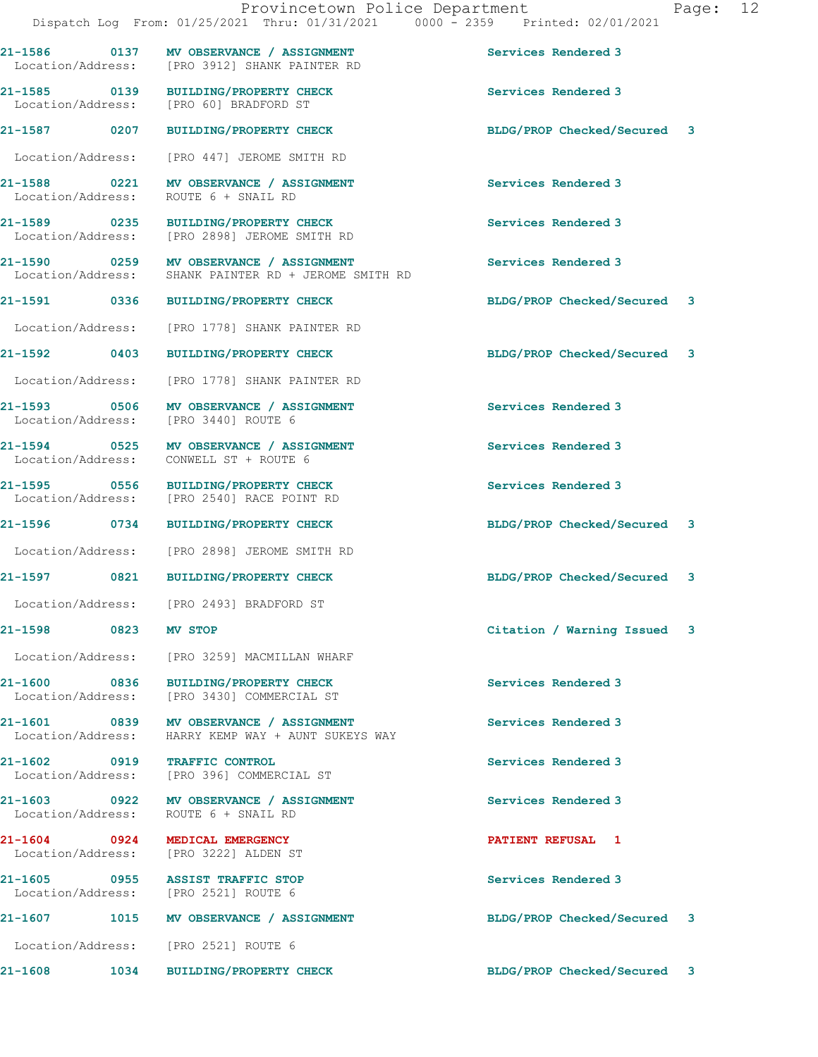**21-1586 0137 MV OBSERVANCE / ASSIGNMENT Services Rendered 3**  Location/Address: [PRO 3912] SHANK PAINTER RD **21-1585 0139 BUILDING/PROPERTY CHECK Services Rendered 3**  Location/Address: [PRO 60] BRADFORD ST **21-1587 0207 BUILDING/PROPERTY CHECK BLDG/PROP Checked/Secured 3** Location/Address: [PRO 447] JEROME SMITH RD **21-1588** 0221 MV OBSERVANCE / ASSIGNMENT Services Rendered 3<br>
Location/Address: ROUTE 6 + SNAIL RD Location/Address: **21-1589 0235 BUILDING/PROPERTY CHECK Services Rendered 3**  Location/Address: [PRO 2898] JEROME SMITH RD **21-1590 0259 MV OBSERVANCE / ASSIGNMENT Services Rendered 3**  Location/Address: SHANK PAINTER RD + JEROME SMITH RD **21-1591 0336 BUILDING/PROPERTY CHECK BLDG/PROP Checked/Secured 3** Location/Address: [PRO 1778] SHANK PAINTER RD **21-1592 0403 BUILDING/PROPERTY CHECK BLDG/PROP Checked/Secured 3** Location/Address: [PRO 1778] SHANK PAINTER RD **21-1593 0506 MV OBSERVANCE / ASSIGNMENT Services Rendered 3**  Location/Address: [PRO 3440] ROUTE 6 **21-1594 0525 MV OBSERVANCE / ASSIGNMENT Services Rendered 3**  Location/Address: CONWELL ST + ROUTE 6 **21-1595 0556 BUILDING/PROPERTY CHECK Services Rendered 3**  Location/Address: [PRO 2540] RACE POINT RD **21-1596 0734 BUILDING/PROPERTY CHECK BLDG/PROP Checked/Secured 3** Location/Address: [PRO 2898] JEROME SMITH RD **21-1597 0821 BUILDING/PROPERTY CHECK BLDG/PROP Checked/Secured 3** Location/Address: [PRO 2493] BRADFORD ST **21-1598 0823 MV STOP Citation / Warning Issued 3** Location/Address: [PRO 3259] MACMILLAN WHARF **21-1600 0836 BUILDING/PROPERTY CHECK Services Rendered 3**  Location/Address: [PRO 3430] COMMERCIAL ST **21-1601 0839 MV OBSERVANCE / ASSIGNMENT Services Rendered 3**  Location/Address: HARRY KEMP WAY + AUNT SUKEYS WAY **21-1602 0919 TRAFFIC CONTROL Services Rendered 3**  Location/Address: [PRO 396] COMMERCIAL ST **21-1603 0922 MV OBSERVANCE / ASSIGNMENT Services Rendered 3**  Location/Address: ROUTE 6 + SNAIL RD **21-1604 0924 MEDICAL EMERGENCY PATIENT REFUSAL 1**  Location/Address: [PRO 3222] ALDEN ST **21-1605 0955 ASSIST TRAFFIC STOP Services Rendered 3**  Location/Address: [PRO 2521] ROUTE 6 **21-1607 1015 MV OBSERVANCE / ASSIGNMENT BLDG/PROP Checked/Secured 3** Location/Address: [PRO 2521] ROUTE 6

**21-1608 1034 BUILDING/PROPERTY CHECK BLDG/PROP Checked/Secured 3**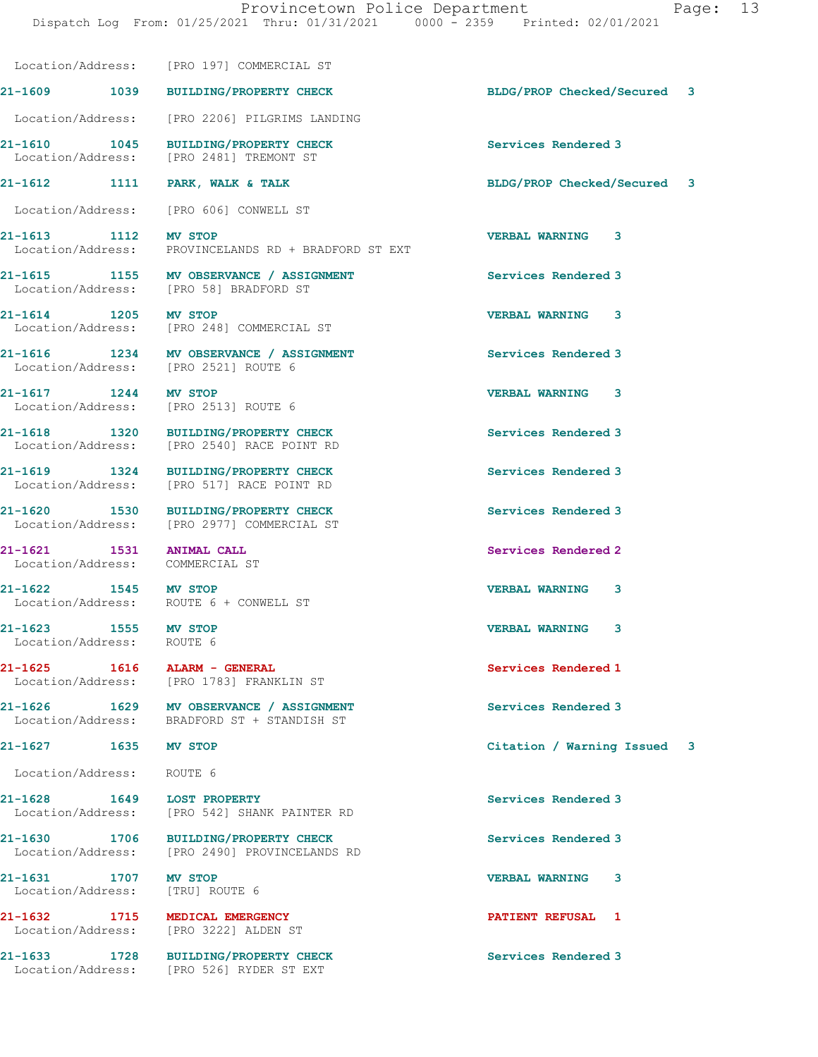**21-1609 1039 BUILDING/PROPERTY CHECK BLDG/PROP Checked/Secured 3**

 Location/Address: [PRO 2206] PILGRIMS LANDING **21-1610 1045 BUILDING/PROPERTY CHECK Services Rendered 3**  Location/Address: [PRO 2481] TREMONT ST **21-1612 1111 PARK, WALK & TALK BLDG/PROP Checked/Secured 3** Location/Address: [PRO 606] CONWELL ST **21-1613 1112 MV STOP VERBAL WARNING 3**  Location/Address: PROVINCELANDS RD + BRADFORD ST EXT

Location/Address: [PRO 197] COMMERCIAL ST

Location/Address: [PRO 58] BRADFORD ST

Location/Address: [PRO 248] COMMERCIAL ST

**21-1616 1234 MV OBSERVANCE / ASSIGNMENT Services Rendered 3**  Location/Address: [PRO 2521] ROUTE 6

Location/Address: [PRO 2513] ROUTE 6

**21-1618 1320 BUILDING/PROPERTY CHECK Services Rendered 3**  Location/Address: [PRO 2540] RACE POINT RD

**21-1619 1324 BUILDING/PROPERTY CHECK Services Rendered 3**  Location/Address: [PRO 517] RACE POINT RD

**21-1620 1530 BUILDING/PROPERTY CHECK Services Rendered 3**  Location/Address: [PRO 2977] COMMERCIAL ST

Location/Address: COMMERCIAL ST

Location/Address: ROUTE 6 + CONWELL ST

**21-1625 1616 ALARM - GENERAL Services Rendered 1**  [PRO 1783] FRANKLIN ST

**21-1626 1629 MV OBSERVANCE / ASSIGNMENT Services Rendered 3**  Location/Address: BRADFORD ST + STANDISH ST

**21-1628 1649 LOST PROPERTY Services Rendered 3**  Location/Address: [PRO 542] SHANK PAINTER RD

**21-1630 1706 BUILDING/PROPERTY CHECK Services Rendered 3**  Location/Address: [PRO 2490] PROVINCELANDS RD

**21-1632 1715 MEDICAL EMERGENCY PATIENT REFUSAL 1** 

**21-1633 1728 BUILDING/PROPERTY CHECK Services Rendered 3**  Location/Address: [PRO 526] RYDER ST EXT

**21-1615 1155 MV OBSERVANCE / ASSIGNMENT Services Rendered 3** 

**21-1614 1205 MV STOP VERBAL WARNING 3** 

**21-1617 1244 MV STOP VERBAL WARNING 3** 

**21-1621 1531 ANIMAL CALL Services Rendered 2** 

**21-1622 1545 MV STOP VERBAL WARNING 3** 

**21-1623 1555 MV STOP VERBAL WARNING 3** 

**21-1627 1635 MV STOP Citation / Warning Issued 3**

Location/Address: ROUTE 6

**21-1631 1707 MV STOP VERBAL WARNING 3**  Location/Address: [TRU] ROUTE 6

Location/Address:

Location/Address: ROUTE 6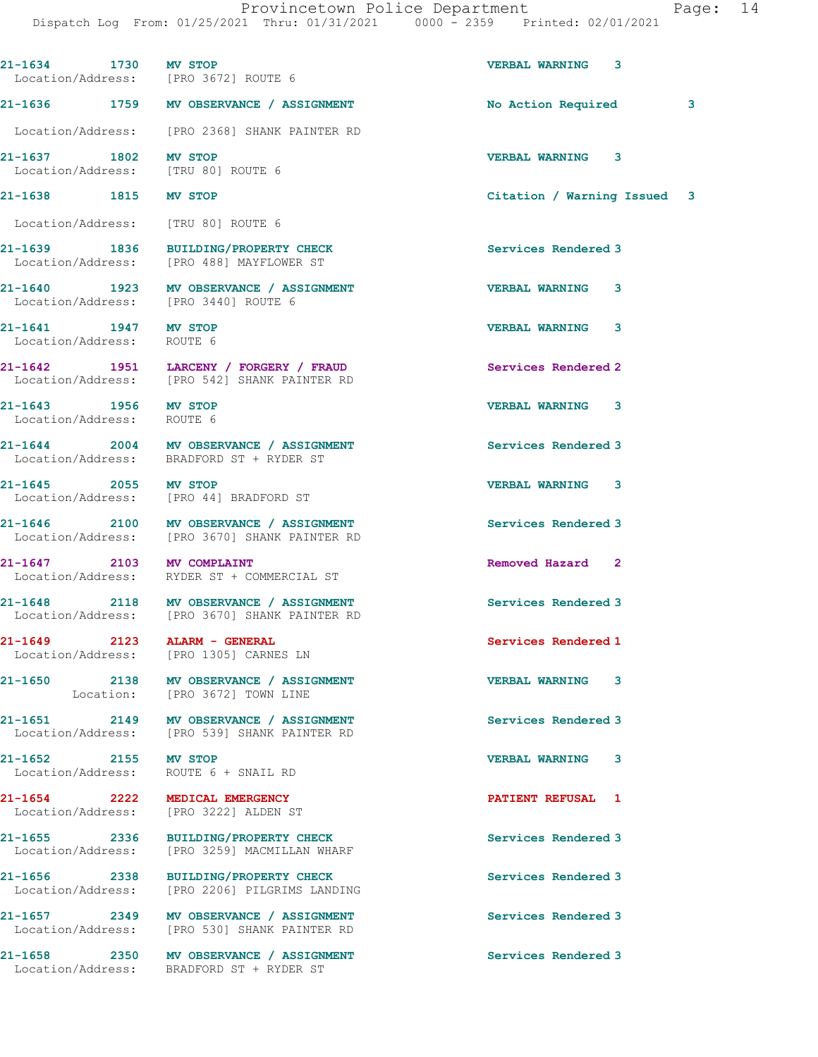| 21-1634 1730 MV STOP                              | Location/Address: [PRO 3672] ROUTE 6                                                     | <b>VERBAL WARNING 3</b>     |
|---------------------------------------------------|------------------------------------------------------------------------------------------|-----------------------------|
|                                                   | 21-1636 1759 MV OBSERVANCE / ASSIGNMENT                                                  | No Action Required<br>3     |
|                                                   | Location/Address: [PRO 2368] SHANK PAINTER RD                                            |                             |
| 21-1637 1802 MV STOP                              | Location/Address: [TRU 80] ROUTE 6                                                       | VERBAL WARNING 3            |
| 21-1638 1815 MV STOP                              |                                                                                          | Citation / Warning Issued 3 |
|                                                   | Location/Address: [TRU 80] ROUTE 6                                                       |                             |
|                                                   | 21-1639 1836 BUILDING/PROPERTY CHECK<br>Location/Address: [PRO 488] MAYFLOWER ST         | Services Rendered 3         |
|                                                   | 21-1640 1923 MV OBSERVANCE / ASSIGNMENT<br>Location/Address: [PRO 3440] ROUTE 6          | <b>VERBAL WARNING 3</b>     |
| 21-1641 1947 MV STOP<br>Location/Address: ROUTE 6 |                                                                                          | VERBAL WARNING 3            |
|                                                   | 21-1642 1951 LARCENY / FORGERY / FRAUD<br>Location/Address: [PRO 542] SHANK PAINTER RD   | Services Rendered 2         |
| 21-1643 1956 MV STOP<br>Location/Address: ROUTE 6 |                                                                                          | <b>VERBAL WARNING 3</b>     |
|                                                   | 21-1644 2004 MV OBSERVANCE / ASSIGNMENT<br>Location/Address: BRADFORD ST + RYDER ST      | Services Rendered 3         |
| 21-1645 2055 MV STOP                              | Location/Address: [PRO 44] BRADFORD ST                                                   | <b>VERBAL WARNING 3</b>     |
|                                                   | 21-1646 2100 MV OBSERVANCE / ASSIGNMENT<br>Location/Address: [PRO 3670] SHANK PAINTER RD | Services Rendered 3         |
| 21-1647 2103 MV COMPLAINT                         | Location/Address: RYDER ST + COMMERCIAL ST                                               | Removed Hazard 2            |
|                                                   | 21-1648 2118 MV OBSERVANCE / ASSIGNMENT<br>Location/Address: [PRO 3670] SHANK PAINTER RD | Services Rendered 3         |
| 21-1649<br>2123                                   | ALARM - GENERAL<br>Location/Address: [PRO 1305] CARNES LN                                | Services Rendered 1         |
|                                                   | 21-1650 2138 MV OBSERVANCE / ASSIGNMENT<br>Location: [PRO 3672] TOWN LINE                | <b>VERBAL WARNING 3</b>     |
|                                                   | 21-1651 2149 MV OBSERVANCE / ASSIGNMENT<br>Location/Address: [PRO 539] SHANK PAINTER RD  | Services Rendered 3         |
| 21-1652 2155 MV STOP                              | Location/Address: ROUTE 6 + SNAIL RD                                                     | VERBAL WARNING 3            |
|                                                   | 21-1654 2222 MEDICAL EMERGENCY<br>Location/Address: [PRO 3222] ALDEN ST                  | <b>PATIENT REFUSAL 1</b>    |
|                                                   | 21-1655 2336 BUILDING/PROPERTY CHECK<br>Location/Address: [PRO 3259] MACMILLAN WHARF     | Services Rendered 3         |
|                                                   | 21-1656 2338 BUILDING/PROPERTY CHECK<br>Location/Address: [PRO 2206] PILGRIMS LANDING    | Services Rendered 3         |
|                                                   | 21-1657 2349 MV OBSERVANCE / ASSIGNMENT<br>Location/Address: [PRO 530] SHANK PAINTER RD  | Services Rendered 3         |
|                                                   | 21-1658 2350 MV OBSERVANCE / ASSIGNMENT<br>Location/Address: BRADFORD ST + RYDER ST      | Services Rendered 3         |
|                                                   |                                                                                          |                             |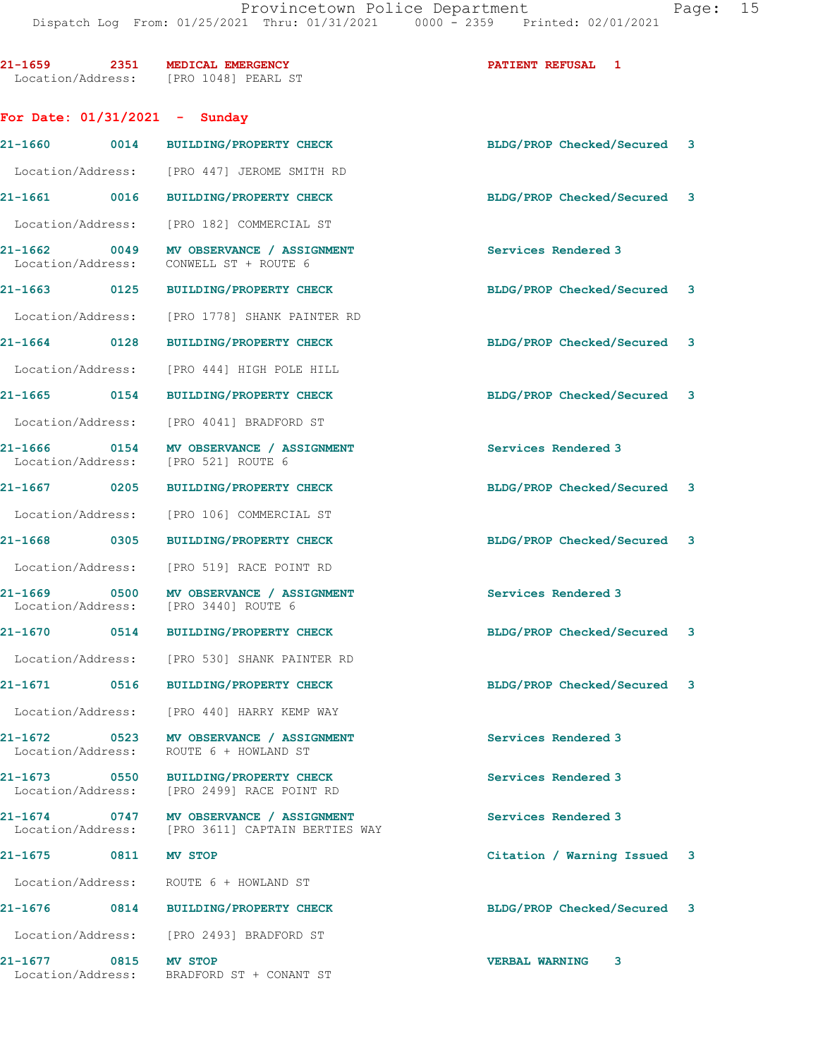| 21-1659 2351 MEDICAL EMERGENCY       | Location/Address: [PRO 1048] PEARL ST                                                       | <b>PATIENT REFUSAL 1</b>    |
|--------------------------------------|---------------------------------------------------------------------------------------------|-----------------------------|
| For Date: $01/31/2021$ - Sunday      |                                                                                             |                             |
|                                      | 21-1660 0014 BUILDING/PROPERTY CHECK                                                        | BLDG/PROP Checked/Secured 3 |
|                                      | Location/Address: [PRO 447] JEROME SMITH RD                                                 |                             |
|                                      | 21-1661 0016 BUILDING/PROPERTY CHECK                                                        | BLDG/PROP Checked/Secured 3 |
|                                      | Location/Address: [PRO 182] COMMERCIAL ST                                                   |                             |
|                                      | 21-1662 0049 MV OBSERVANCE / ASSIGNMENT<br>Location/Address: CONWELL ST + ROUTE 6           | Services Rendered 3         |
|                                      | 21-1663 0125 BUILDING/PROPERTY CHECK                                                        | BLDG/PROP Checked/Secured 3 |
|                                      | Location/Address: [PRO 1778] SHANK PAINTER RD                                               |                             |
|                                      | 21-1664 0128 BUILDING/PROPERTY CHECK                                                        | BLDG/PROP Checked/Secured 3 |
|                                      | Location/Address: [PRO 444] HIGH POLE HILL                                                  |                             |
|                                      | 21-1665 0154 BUILDING/PROPERTY CHECK                                                        | BLDG/PROP Checked/Secured 3 |
|                                      | Location/Address: [PRO 4041] BRADFORD ST                                                    |                             |
| Location/Address: [PRO 521] ROUTE 6  | 21-1666 0154 MV OBSERVANCE / ASSIGNMENT                                                     | Services Rendered 3         |
|                                      | 21-1667 0205 BUILDING/PROPERTY CHECK                                                        | BLDG/PROP Checked/Secured 3 |
|                                      | Location/Address: [PRO 106] COMMERCIAL ST                                                   |                             |
|                                      | 21-1668 0305 BUILDING/PROPERTY CHECK                                                        | BLDG/PROP Checked/Secured 3 |
|                                      | Location/Address: [PRO 519] RACE POINT RD                                                   |                             |
| Location/Address: [PRO 3440] ROUTE 6 | 21-1669 0500 MV OBSERVANCE / ASSIGNMENT                                                     | Services Rendered 3         |
|                                      | 21-1670 0514 BUILDING/PROPERTY CHECK                                                        | BLDG/PROP Checked/Secured 3 |
|                                      | Location/Address: [PRO 530] SHANK PAINTER RD                                                |                             |
|                                      | 21-1671 0516 BUILDING/PROPERTY CHECK                                                        | BLDG/PROP Checked/Secured 3 |
|                                      | Location/Address: [PRO 440] HARRY KEMP WAY                                                  |                             |
|                                      | 21-1672 0523 MV OBSERVANCE / ASSIGNMENT<br>Location/Address: ROUTE 6 + HOWLAND ST           | Services Rendered 3         |
|                                      | 21-1673 0550 BUILDING/PROPERTY CHECK<br>Location/Address: [PRO 2499] RACE POINT RD          | Services Rendered 3         |
|                                      | 21-1674 0747 MV OBSERVANCE / ASSIGNMENT<br>Location/Address: [PRO 3611] CAPTAIN BERTIES WAY | Services Rendered 3         |
| 21-1675 0811 MV STOP                 |                                                                                             | Citation / Warning Issued 3 |
|                                      | Location/Address: ROUTE 6 + HOWLAND ST                                                      |                             |
|                                      | 21-1676 0814 BUILDING/PROPERTY CHECK                                                        | BLDG/PROP Checked/Secured 3 |
|                                      | Location/Address: [PRO 2493] BRADFORD ST                                                    |                             |
| 21-1677 0815 MV STOP                 | Location/Address: BRADFORD ST + CONANT ST                                                   | <b>VERBAL WARNING</b><br>3  |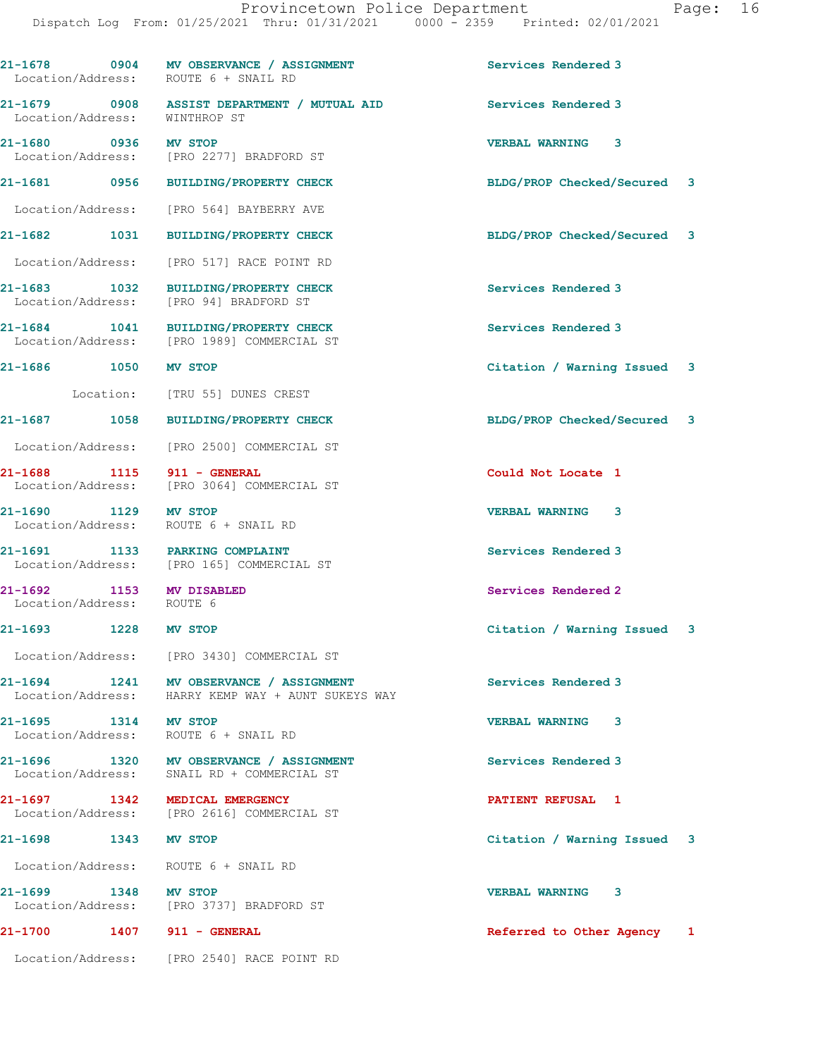|                                                       | 21-1678 0904 MV OBSERVANCE / ASSIGNMENT<br>Location/Address: ROUTE 6 + SNAIL RD               | Services Rendered 3         |
|-------------------------------------------------------|-----------------------------------------------------------------------------------------------|-----------------------------|
|                                                       | 21-1679 0908 ASSIST DEPARTMENT / MUTUAL AID<br>Location/Address: WINTHROP ST                  | Services Rendered 3         |
| 21-1680 0936 MV STOP                                  | Location/Address: [PRO 2277] BRADFORD ST                                                      | <b>VERBAL WARNING 3</b>     |
|                                                       | 21-1681 0956 BUILDING/PROPERTY CHECK                                                          | BLDG/PROP Checked/Secured 3 |
|                                                       | Location/Address: [PRO 564] BAYBERRY AVE                                                      |                             |
|                                                       | 21-1682 1031 BUILDING/PROPERTY CHECK                                                          | BLDG/PROP Checked/Secured 3 |
|                                                       | Location/Address: [PRO 517] RACE POINT RD                                                     |                             |
|                                                       | 21-1683 1032 BUILDING/PROPERTY CHECK<br>Location/Address: [PRO 94] BRADFORD ST                | Services Rendered 3         |
|                                                       | 21-1684 1041 BUILDING/PROPERTY CHECK<br>Location/Address: [PRO 1989] COMMERCIAL ST            | Services Rendered 3         |
| 21-1686 1050 MV STOP                                  |                                                                                               | Citation / Warning Issued 3 |
|                                                       | Location: [TRU 55] DUNES CREST                                                                |                             |
|                                                       | 21-1687 1058 BUILDING/PROPERTY CHECK                                                          | BLDG/PROP Checked/Secured 3 |
|                                                       | Location/Address: [PRO 2500] COMMERCIAL ST                                                    |                             |
| 21-1688 1115 911 - GENERAL                            | Location/Address: [PRO 3064] COMMERCIAL ST                                                    | Could Not Locate 1          |
| 21-1690 1129 MV STOP                                  | Location/Address: ROUTE 6 + SNAIL RD                                                          | <b>VERBAL WARNING 3</b>     |
| 21-1691 1133 PARKING COMPLAINT                        | Location/Address: [PRO 165] COMMERCIAL ST                                                     | Services Rendered 3         |
| 21-1692 1153 MV DISABLED<br>Location/Address: ROUTE 6 |                                                                                               | Services Rendered 2         |
| 21-1693 1228 MV STOP                                  |                                                                                               | Citation / Warning Issued 3 |
|                                                       | Location/Address: [PRO 3430] COMMERCIAL ST                                                    |                             |
|                                                       | 21-1694 1241 MV OBSERVANCE / ASSIGNMENT<br>Location/Address: HARRY KEMP WAY + AUNT SUKEYS WAY | Services Rendered 3         |
| 21-1695 1314 MV STOP                                  | Location/Address: ROUTE 6 + SNAIL RD                                                          | VERBAL WARNING 3            |
|                                                       | 21-1696 1320 MV OBSERVANCE / ASSIGNMENT<br>Location/Address: SNAIL RD + COMMERCIAL ST         | Services Rendered 3         |
| 21-1697 1342 MEDICAL EMERGENCY                        | Location/Address: [PRO 2616] COMMERCIAL ST                                                    | <b>PATIENT REFUSAL 1</b>    |
| 21-1698 1343 MV STOP                                  |                                                                                               | Citation / Warning Issued 3 |
| Location/Address: ROUTE 6 + SNAIL RD                  |                                                                                               |                             |
| 21-1699 1348 MV STOP                                  | Location/Address: [PRO 3737] BRADFORD ST                                                      | VERBAL WARNING 3            |
| 21-1700                                               | <b>1407 911 - GENERAL</b>                                                                     | Referred to Other Agency 1  |

Location/Address: [PRO 2540] RACE POINT RD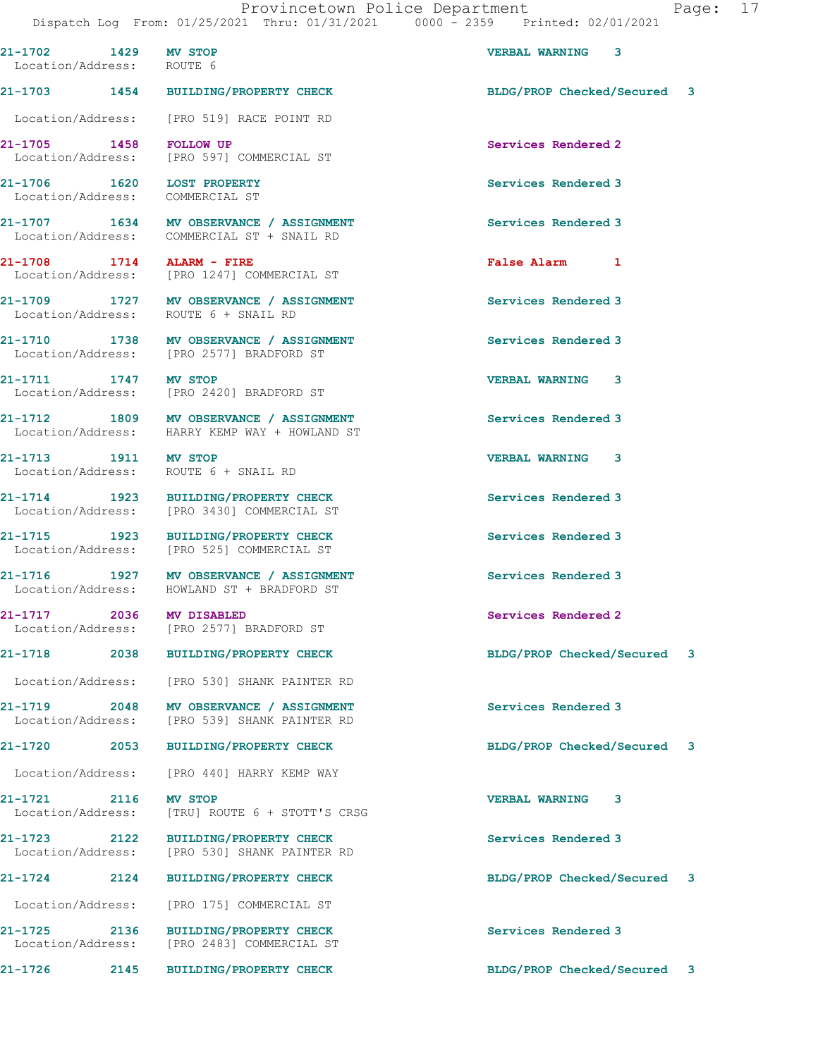**21-1702 1429 MV STOP VERBAL WARNING 3** 

 Location/Address: ROUTE 6 **21-1703 1454 BUILDING/PROPERTY CHECK BLDG/PROP Checked/Secured 3** Location/Address: [PRO 519] RACE POINT RD **21-1705 1458 FOLLOW UP Services Rendered 2**  Location/Address: [PRO 597] COMMERCIAL ST **21-1706** 1620 LOST PROPERTY **1620 Services Rendered 3**<br>
Location/Address: COMMERCIAL ST Location/Address: **21-1707 1634 MV OBSERVANCE / ASSIGNMENT Services Rendered 3**  Location/Address: COMMERCIAL ST + SNAIL RD **21-1708 1714 ALARM - FIRE False Alarm 1**  Location/Address: [PRO 1247] COMMERCIAL ST **21-1709 1727 MV OBSERVANCE / ASSIGNMENT Services Rendered 3**  Location/Address: ROUTE 6 + SNAIL RD **21-1710 1738 MV OBSERVANCE / ASSIGNMENT Services Rendered 3**  [PRO 2577] BRADFORD ST **21-1711 1747 MV STOP 1747 MW STOP 1747 MW STOP 1747 MW STOP** 1747 MW STOP 1758 MW VERBAL WARNING 23 Location/Address: **21-1712 1809 MV OBSERVANCE / ASSIGNMENT Services Rendered 3**  Location/Address: HARRY KEMP WAY + HOWLAND ST **21-1713 1911 MV STOP VERBAL WARNING 3**  Location/Address: ROUTE 6 + SNAIL RD **21-1714 1923 BUILDING/PROPERTY CHECK Services Rendered 3**  Location/Address: [PRO 3430] COMMERCIAL ST **21-1715** 1923 BUILDING/PROPERTY CHECK Services Rendered 3<br>
Location/Address: [PRO 525] COMMERCIAL ST [PRO 525] COMMERCIAL ST **21-1716 1927 MV OBSERVANCE / ASSIGNMENT Services Rendered 3**  Location/Address: HOWLAND ST + BRADFORD ST **21-1717 2036 MV DISABLED Services Rendered 2**  Location/Address: [PRO 2577] BRADFORD ST **21-1718 2038 BUILDING/PROPERTY CHECK BLDG/PROP Checked/Secured 3** Location/Address: [PRO 530] SHANK PAINTER RD **21-1719 2048 MV OBSERVANCE / ASSIGNMENT Services Rendered 3**  Location/Address: [PRO 539] SHANK PAINTER RD **21-1720 2053 BUILDING/PROPERTY CHECK BLDG/PROP Checked/Secured 3** Location/Address: [PRO 440] HARRY KEMP WAY **21-1721 2116 MV STOP VERBAL WARNING 3**  Location/Address: [TRU] ROUTE 6 + STOTT'S CRSG **21-1723 2122 BUILDING/PROPERTY CHECK Services Rendered 3**  Location/Address: [PRO 530] SHANK PAINTER RD **21-1724 2124 BUILDING/PROPERTY CHECK BLDG/PROP Checked/Secured 3** Location/Address: [PRO 175] COMMERCIAL ST **21-1725 2136 BUILDING/PROPERTY CHECK Services Rendered 3**  Location/Address: [PRO 2483] COMMERCIAL ST **21-1726 2145 BUILDING/PROPERTY CHECK BLDG/PROP Checked/Secured 3**